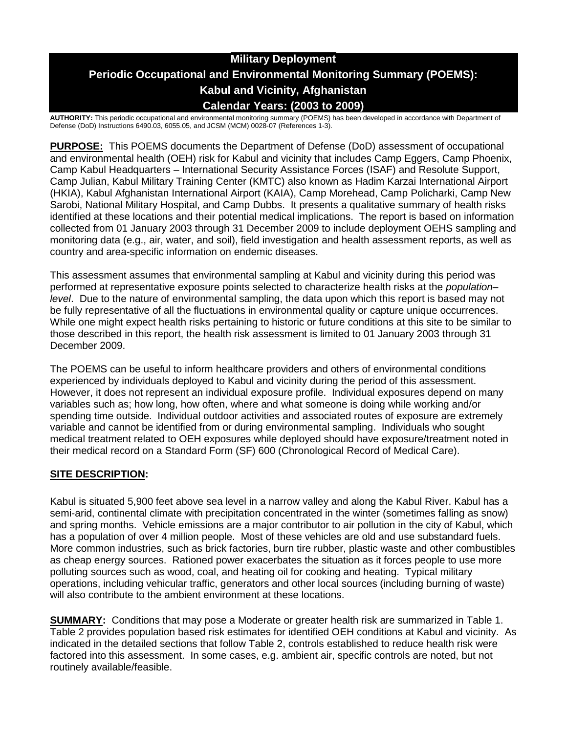# **Military Deployment Periodic Occupational and Environmental Monitoring Summary (POEMS): Kabul and Vicinity, Afghanistan Calendar Years: (2003 to 2009)**

**AUTHORITY:** This periodic occupational and environmental monitoring summary (POEMS) has been developed in accordance with Department of Defense (DoD) Instructions 6490.03, 6055.05, and JCSM (MCM) 0028-07 (References 1-3).

**PURPOSE:** This POEMS documents the Department of Defense (DoD) assessment of occupational and environmental health (OEH) risk for Kabul and vicinity that includes Camp Eggers, Camp Phoenix, Camp Kabul Headquarters – International Security Assistance Forces (ISAF) and Resolute Support, Camp Julian, Kabul Military Training Center (KMTC) also known as Hadim Karzai International Airport (HKIA), Kabul Afghanistan International Airport (KAIA), Camp Morehead, Camp Policharki, Camp New Sarobi, National Military Hospital, and Camp Dubbs. It presents a qualitative summary of health risks identified at these locations and their potential medical implications. The report is based on information collected from 01 January 2003 through 31 December 2009 to include deployment OEHS sampling and monitoring data (e.g., air, water, and soil), field investigation and health assessment reports, as well as country and area-specific information on endemic diseases.

This assessment assumes that environmental sampling at Kabul and vicinity during this period was performed at representative exposure points selected to characterize health risks at the *population– level*. Due to the nature of environmental sampling, the data upon which this report is based may not be fully representative of all the fluctuations in environmental quality or capture unique occurrences. While one might expect health risks pertaining to historic or future conditions at this site to be similar to those described in this report, the health risk assessment is limited to 01 January 2003 through 31 December 2009.

The POEMS can be useful to inform healthcare providers and others of environmental conditions experienced by individuals deployed to Kabul and vicinity during the period of this assessment. However, it does not represent an individual exposure profile. Individual exposures depend on many variables such as; how long, how often, where and what someone is doing while working and/or spending time outside. Individual outdoor activities and associated routes of exposure are extremely variable and cannot be identified from or during environmental sampling. Individuals who sought medical treatment related to OEH exposures while deployed should have exposure/treatment noted in their medical record on a Standard Form (SF) 600 (Chronological Record of Medical Care).

## **SITE DESCRIPTION:**

Kabul is situated 5,900 feet above sea level in a narrow valley and along the Kabul River. Kabul has a semi-arid, continental climate with precipitation concentrated in the winter (sometimes falling as snow) and spring months. Vehicle emissions are a major contributor to air pollution in the city of Kabul, which has a population of over 4 million people. Most of these vehicles are old and use substandard fuels. More common industries, such as brick factories, burn tire rubber, plastic waste and other combustibles as cheap energy sources. Rationed power exacerbates the situation as it forces people to use more polluting sources such as wood, coal, and heating oil for cooking and heating. Typical military operations, including vehicular traffic, generators and other local sources (including burning of waste) will also contribute to the ambient environment at these locations.

**SUMMARY:** Conditions that may pose a Moderate or greater health risk are summarized in Table 1. Table 2 provides population based risk estimates for identified OEH conditions at Kabul and vicinity. As indicated in the detailed sections that follow Table 2, controls established to reduce health risk were factored into this assessment. In some cases, e.g. ambient air, specific controls are noted, but not routinely available/feasible.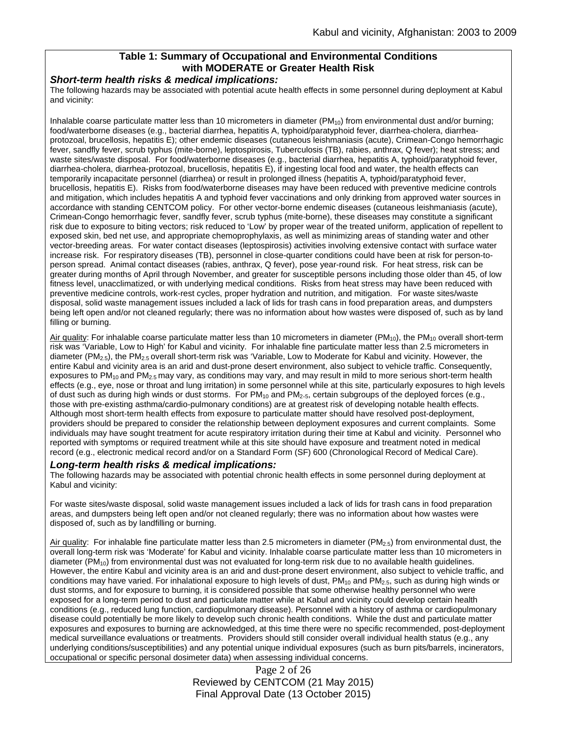## **Table 1: Summary of Occupational and Environmental Conditions with MODERATE or Greater Health Risk**

#### *Short-term health risks & medical implications:*

The following hazards may be associated with potential acute health effects in some personnel during deployment at Kabul and vicinity:

Inhalable coarse particulate matter less than 10 micrometers in diameter  $(PM_{10})$  from environmental dust and/or burning; food/waterborne diseases (e.g., bacterial diarrhea, hepatitis A, typhoid/paratyphoid fever, diarrhea-cholera, diarrheaprotozoal, brucellosis, hepatitis E); other endemic diseases (cutaneous leishmaniasis (acute), Crimean-Congo hemorrhagic fever, sandfly fever, scrub typhus (mite-borne), leptospirosis, Tuberculosis (TB), rabies, anthrax, Q fever); heat stress; and waste sites/waste disposal. For food/waterborne diseases (e.g., bacterial diarrhea, hepatitis A, typhoid/paratyphoid fever, diarrhea-cholera, diarrhea-protozoal, brucellosis, hepatitis E), if ingesting local food and water, the health effects can temporarily incapacitate personnel (diarrhea) or result in prolonged illness (hepatitis A, typhoid/paratyphoid fever, brucellosis, hepatitis E). Risks from food/waterborne diseases may have been reduced with preventive medicine controls and mitigation, which includes hepatitis A and typhoid fever vaccinations and only drinking from approved water sources in accordance with standing CENTCOM policy. For other vector-borne endemic diseases (cutaneous leishmaniasis (acute), Crimean-Congo hemorrhagic fever, sandfly fever, scrub typhus (mite-borne), these diseases may constitute a significant risk due to exposure to biting vectors; risk reduced to 'Low' by proper wear of the treated uniform, application of repellent to exposed skin, bed net use, and appropriate chemoprophylaxis, as well as minimizing areas of standing water and other vector-breeding areas. For water contact diseases (leptospirosis) activities involving extensive contact with surface water increase risk. For respiratory diseases (TB), personnel in close-quarter conditions could have been at risk for person-toperson spread. Animal contact diseases (rabies, anthrax, Q fever), pose year-round risk. For heat stress, risk can be greater during months of April through November, and greater for susceptible persons including those older than 45, of low fitness level, unacclimatized, or with underlying medical conditions. Risks from heat stress may have been reduced with preventive medicine controls, work-rest cycles, proper hydration and nutrition, and mitigation. For waste sites/waste disposal, solid waste management issues included a lack of lids for trash cans in food preparation areas, and dumpsters being left open and/or not cleaned regularly; there was no information about how wastes were disposed of, such as by land filling or burning.

Air quality: For inhalable coarse particulate matter less than 10 micrometers in diameter ( $PM_{10}$ ), the  $PM_{10}$  overall short-term risk was 'Variable, Low to High' for Kabul and vicinity. For inhalable fine particulate matter less than 2.5 micrometers in diameter (PM2.5), the PM2.5 overall short-term risk was 'Variable, Low to Moderate for Kabul and vicinity. However, the entire Kabul and vicinity area is an arid and dust-prone desert environment, also subject to vehicle traffic. Consequently, exposures to  $PM_{10}$  and  $PM_{2.5}$  may vary, as conditions may vary, and may result in mild to more serious short-term health effects (e.g., eye, nose or throat and lung irritation) in some personnel while at this site, particularly exposures to high levels of dust such as during high winds or dust storms. For  $PM_{10}$  and  $PM_{2.5}$ , certain subgroups of the deployed forces (e.g., those with pre-existing asthma/cardio-pulmonary conditions) are at greatest risk of developing notable health effects. Although most short-term health effects from exposure to particulate matter should have resolved post-deployment, providers should be prepared to consider the relationship between deployment exposures and current complaints. Some individuals may have sought treatment for acute respiratory irritation during their time at Kabul and vicinity. Personnel who reported with symptoms or required treatment while at this site should have exposure and treatment noted in medical record (e.g., electronic medical record and/or on a Standard Form (SF) 600 (Chronological Record of Medical Care).

#### *Long-term health risks & medical implications:*

The following hazards may be associated with potential chronic health effects in some personnel during deployment at Kabul and vicinity:

For waste sites/waste disposal, solid waste management issues included a lack of lids for trash cans in food preparation areas, and dumpsters being left open and/or not cleaned regularly; there was no information about how wastes were disposed of, such as by landfilling or burning.

Air quality: For inhalable fine particulate matter less than 2.5 micrometers in diameter ( $PM_{2.5}$ ) from environmental dust, the overall long-term risk was 'Moderate' for Kabul and vicinity. Inhalable coarse particulate matter less than 10 micrometers in diameter ( $PM_{10}$ ) from environmental dust was not evaluated for long-term risk due to no available health quidelines. However, the entire Kabul and vicinity area is an arid and dust-prone desert environment, also subject to vehicle traffic, and conditions may have varied. For inhalational exposure to high levels of dust,  $PM_{10}$  and  $PM_{2.5}$ , such as during high winds or dust storms, and for exposure to burning, it is considered possible that some otherwise healthy personnel who were exposed for a long-term period to dust and particulate matter while at Kabul and vicinity could develop certain health conditions (e.g., reduced lung function, cardiopulmonary disease). Personnel with a history of asthma or cardiopulmonary disease could potentially be more likely to develop such chronic health conditions. While the dust and particulate matter exposures and exposures to burning are acknowledged, at this time there were no specific recommended, post-deployment medical surveillance evaluations or treatments. Providers should still consider overall individual health status (e.g., any underlying conditions/susceptibilities) and any potential unique individual exposures (such as burn pits/barrels, incinerators, occupational or specific personal dosimeter data) when assessing individual concerns.

> Page 2 of 26 Reviewed by CENTCOM (21 May 2015) Final Approval Date (13 October 2015)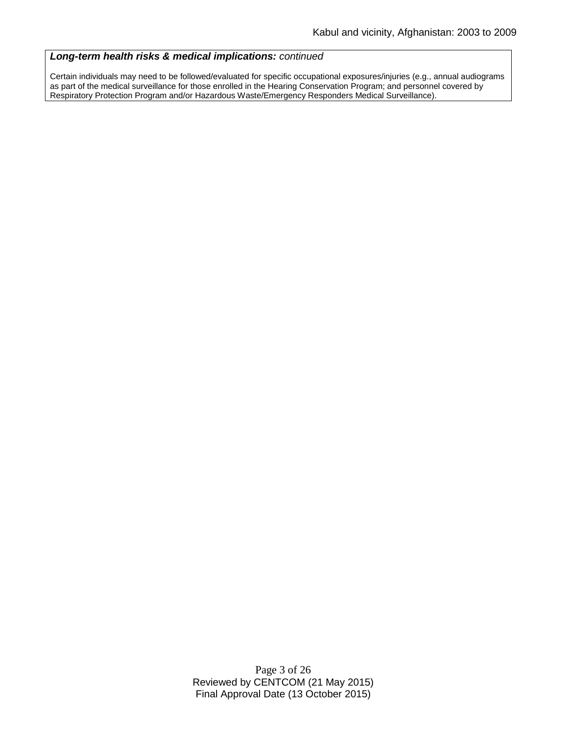#### *Long-term health risks & medical implications: continued*

Certain individuals may need to be followed/evaluated for specific occupational exposures/injuries (e.g., annual audiograms as part of the medical surveillance for those enrolled in the Hearing Conservation Program; and personnel covered by Respiratory Protection Program and/or Hazardous Waste/Emergency Responders Medical Surveillance).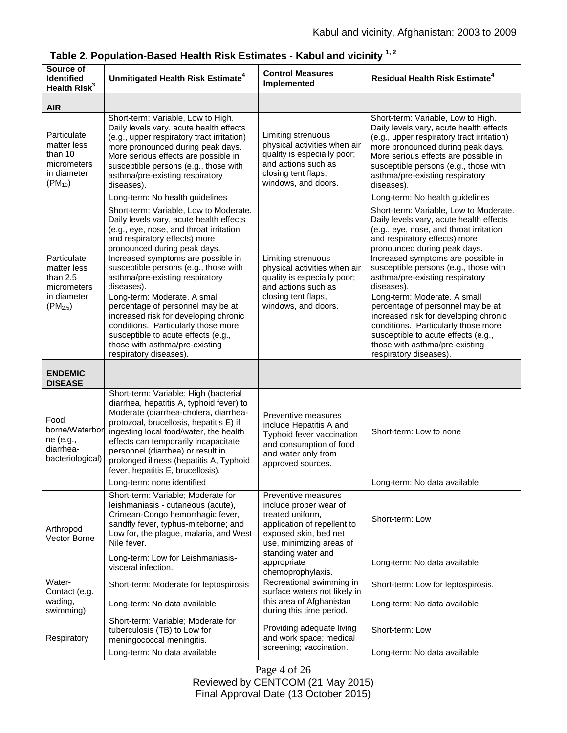| Source of<br><b>Identified</b><br>Health Risk <sup>3</sup>                             | Unmitigated Health Risk Estimate <sup>4</sup>                                                                                                                                                                                                                                                                                                                                                      | <b>Control Measures</b><br>Implemented                                                                                                                                                                          | <b>Residual Health Risk Estimate<sup>4</sup></b>                                                                                                                                                                                                                                                                                                                                                   |
|----------------------------------------------------------------------------------------|----------------------------------------------------------------------------------------------------------------------------------------------------------------------------------------------------------------------------------------------------------------------------------------------------------------------------------------------------------------------------------------------------|-----------------------------------------------------------------------------------------------------------------------------------------------------------------------------------------------------------------|----------------------------------------------------------------------------------------------------------------------------------------------------------------------------------------------------------------------------------------------------------------------------------------------------------------------------------------------------------------------------------------------------|
| <b>AIR</b>                                                                             |                                                                                                                                                                                                                                                                                                                                                                                                    |                                                                                                                                                                                                                 |                                                                                                                                                                                                                                                                                                                                                                                                    |
| Particulate<br>matter less<br>than 10<br>micrometers<br>in diameter<br>$(PM_{10})$     | Short-term: Variable, Low to High.<br>Daily levels vary, acute health effects<br>(e.g., upper respiratory tract irritation)<br>more pronounced during peak days.<br>More serious effects are possible in<br>susceptible persons (e.g., those with<br>asthma/pre-existing respiratory<br>diseases).                                                                                                 | Limiting strenuous<br>physical activities when air<br>quality is especially poor;<br>and actions such as<br>closing tent flaps,<br>windows, and doors.                                                          | Short-term: Variable, Low to High.<br>Daily levels vary, acute health effects<br>(e.g., upper respiratory tract irritation)<br>more pronounced during peak days.<br>More serious effects are possible in<br>susceptible persons (e.g., those with<br>asthma/pre-existing respiratory<br>diseases).                                                                                                 |
|                                                                                        | Long-term: No health guidelines                                                                                                                                                                                                                                                                                                                                                                    |                                                                                                                                                                                                                 | Long-term: No health guidelines                                                                                                                                                                                                                                                                                                                                                                    |
| Particulate<br>matter less<br>than $2.5$<br>micrometers<br>in diameter<br>$(PM_{2.5})$ | Short-term: Variable, Low to Moderate.<br>Daily levels vary, acute health effects<br>(e.g., eye, nose, and throat irritation<br>and respiratory effects) more<br>pronounced during peak days.<br>Increased symptoms are possible in<br>susceptible persons (e.g., those with<br>asthma/pre-existing respiratory<br>diseases).<br>Long-term: Moderate. A small<br>percentage of personnel may be at | Limiting strenuous<br>physical activities when air<br>quality is especially poor;<br>and actions such as<br>closing tent flaps,<br>windows, and doors.                                                          | Short-term: Variable, Low to Moderate.<br>Daily levels vary, acute health effects<br>(e.g., eye, nose, and throat irritation<br>and respiratory effects) more<br>pronounced during peak days.<br>Increased symptoms are possible in<br>susceptible persons (e.g., those with<br>asthma/pre-existing respiratory<br>diseases).<br>Long-term: Moderate. A small<br>percentage of personnel may be at |
|                                                                                        | increased risk for developing chronic<br>conditions. Particularly those more<br>susceptible to acute effects (e.g.,<br>those with asthma/pre-existing<br>respiratory diseases).                                                                                                                                                                                                                    |                                                                                                                                                                                                                 | increased risk for developing chronic<br>conditions. Particularly those more<br>susceptible to acute effects (e.g.,<br>those with asthma/pre-existing<br>respiratory diseases).                                                                                                                                                                                                                    |
| <b>ENDEMIC</b><br><b>DISEASE</b>                                                       |                                                                                                                                                                                                                                                                                                                                                                                                    |                                                                                                                                                                                                                 |                                                                                                                                                                                                                                                                                                                                                                                                    |
| Food<br>borne/Waterbor<br>ne (e.g.,<br>diarrhea-<br>bacteriological)                   | Short-term: Variable; High (bacterial<br>diarrhea, hepatitis A, typhoid fever) to<br>Moderate (diarrhea-cholera, diarrhea-<br>protozoal, brucellosis, hepatitis E) if<br>ingesting local food/water, the health<br>effects can temporarily incapacitate<br>personnel (diarrhea) or result in<br>prolonged illness (hepatitis A, Typhoid<br>fever, hepatitis E, brucellosis).                       | Preventive measures<br>include Hepatitis A and<br>Typhoid fever vaccination<br>and consumption of food<br>and water only from<br>approved sources.                                                              | Short-term: Low to none                                                                                                                                                                                                                                                                                                                                                                            |
|                                                                                        | Long-term: none identified                                                                                                                                                                                                                                                                                                                                                                         |                                                                                                                                                                                                                 | Long-term: No data available                                                                                                                                                                                                                                                                                                                                                                       |
| Arthropod<br>Vector Borne                                                              | Short-term: Variable; Moderate for<br>leishmaniasis - cutaneous (acute),<br>Crimean-Congo hemorrhagic fever,<br>sandfly fever, typhus-miteborne; and<br>Low for, the plague, malaria, and West<br>Nile fever.                                                                                                                                                                                      | Preventive measures<br>include proper wear of<br>treated uniform,<br>application of repellent to<br>exposed skin, bed net<br>use, minimizing areas of<br>standing water and<br>appropriate<br>chemoprophylaxis. | Short-term: Low                                                                                                                                                                                                                                                                                                                                                                                    |
|                                                                                        | Long-term: Low for Leishmaniasis-<br>visceral infection.                                                                                                                                                                                                                                                                                                                                           |                                                                                                                                                                                                                 | Long-term: No data available                                                                                                                                                                                                                                                                                                                                                                       |
| Water-<br>Contact (e.g.<br>wading,<br>swimming)                                        | Short-term: Moderate for leptospirosis                                                                                                                                                                                                                                                                                                                                                             | Recreational swimming in<br>surface waters not likely in<br>this area of Afghanistan<br>during this time period.                                                                                                | Short-term: Low for leptospirosis.                                                                                                                                                                                                                                                                                                                                                                 |
|                                                                                        | Long-term: No data available                                                                                                                                                                                                                                                                                                                                                                       |                                                                                                                                                                                                                 | Long-term: No data available                                                                                                                                                                                                                                                                                                                                                                       |
| Respiratory                                                                            | Short-term: Variable; Moderate for<br>tuberculosis (TB) to Low for<br>meningococcal meningitis.                                                                                                                                                                                                                                                                                                    | Providing adequate living<br>and work space; medical<br>screening; vaccination.                                                                                                                                 | Short-term: Low                                                                                                                                                                                                                                                                                                                                                                                    |
|                                                                                        | Long-term: No data available                                                                                                                                                                                                                                                                                                                                                                       |                                                                                                                                                                                                                 | Long-term: No data available                                                                                                                                                                                                                                                                                                                                                                       |

**Table 2. Population-Based Health Risk Estimates - Kabul and vicinity 1, 2**

Page 4 of 26 Reviewed by CENTCOM (21 May 2015) Final Approval Date (13 October 2015)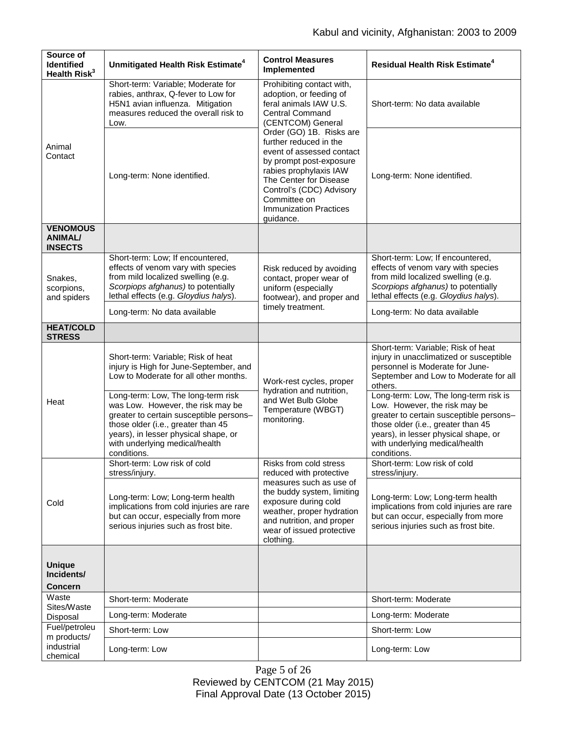| Source of<br><b>Identified</b><br>Health Risk <sup>3</sup> | Unmitigated Health Risk Estimate <sup>4</sup>                                                                                                                                                                                                     | <b>Control Measures</b><br>Implemented                                                                                                                                                                                                                                                                                                                                                    | <b>Residual Health Risk Estimate<sup>4</sup></b>                                                                                                                                                                                                 |
|------------------------------------------------------------|---------------------------------------------------------------------------------------------------------------------------------------------------------------------------------------------------------------------------------------------------|-------------------------------------------------------------------------------------------------------------------------------------------------------------------------------------------------------------------------------------------------------------------------------------------------------------------------------------------------------------------------------------------|--------------------------------------------------------------------------------------------------------------------------------------------------------------------------------------------------------------------------------------------------|
| Animal<br>Contact                                          | Short-term: Variable; Moderate for<br>rabies, anthrax, Q-fever to Low for<br>H5N1 avian influenza. Mitigation<br>measures reduced the overall risk to<br>Low.                                                                                     | Prohibiting contact with,<br>adoption, or feeding of<br>feral animals IAW U.S.<br><b>Central Command</b><br>(CENTCOM) General<br>Order (GO) 1B. Risks are<br>further reduced in the<br>event of assessed contact<br>by prompt post-exposure<br>rabies prophylaxis IAW<br>The Center for Disease<br>Control's (CDC) Advisory<br>Committee on<br><b>Immunization Practices</b><br>guidance. | Short-term: No data available                                                                                                                                                                                                                    |
|                                                            | Long-term: None identified.                                                                                                                                                                                                                       |                                                                                                                                                                                                                                                                                                                                                                                           | Long-term: None identified.                                                                                                                                                                                                                      |
| <b>VENOMOUS</b><br><b>ANIMAL/</b><br><b>INSECTS</b>        |                                                                                                                                                                                                                                                   |                                                                                                                                                                                                                                                                                                                                                                                           |                                                                                                                                                                                                                                                  |
| Snakes,<br>scorpions,<br>and spiders                       | Short-term: Low; If encountered,<br>effects of venom vary with species<br>from mild localized swelling (e.g.<br>Scorpiops afghanus) to potentially<br>lethal effects (e.g. Gloydius halys).                                                       | Risk reduced by avoiding<br>contact, proper wear of<br>uniform (especially<br>footwear), and proper and<br>timely treatment.                                                                                                                                                                                                                                                              | Short-term: Low; If encountered,<br>effects of venom vary with species<br>from mild localized swelling (e.g.<br>Scorpiops afghanus) to potentially<br>lethal effects (e.g. Gloydius halys).                                                      |
|                                                            | Long-term: No data available                                                                                                                                                                                                                      |                                                                                                                                                                                                                                                                                                                                                                                           | Long-term: No data available                                                                                                                                                                                                                     |
| <b>HEAT/COLD</b><br><b>STRESS</b>                          |                                                                                                                                                                                                                                                   |                                                                                                                                                                                                                                                                                                                                                                                           |                                                                                                                                                                                                                                                  |
| Heat                                                       | Short-term: Variable; Risk of heat<br>injury is High for June-September, and<br>Low to Moderate for all other months.                                                                                                                             | Work-rest cycles, proper<br>hydration and nutrition,<br>and Wet Bulb Globe<br>Temperature (WBGT)<br>monitoring.                                                                                                                                                                                                                                                                           | Short-term: Variable; Risk of heat<br>injury in unacclimatized or susceptible<br>personnel is Moderate for June-<br>September and Low to Moderate for all<br>others.                                                                             |
|                                                            | Long-term: Low, The long-term risk<br>was Low. However, the risk may be<br>greater to certain susceptible persons-<br>those older (i.e., greater than 45<br>years), in lesser physical shape, or<br>with underlying medical/health<br>conditions. |                                                                                                                                                                                                                                                                                                                                                                                           | Long-term: Low, The long-term risk is<br>Low. However, the risk may be<br>greater to certain susceptible persons-<br>those older (i.e., greater than 45<br>years), in lesser physical shape, or<br>with underlying medical/health<br>conditions. |
| Cold                                                       | Short-term: Low risk of cold<br>stress/injury.                                                                                                                                                                                                    | Risks from cold stress<br>reduced with protective<br>measures such as use of<br>the buddy system, limiting<br>exposure during cold<br>weather, proper hydration<br>and nutrition, and proper<br>wear of issued protective<br>clothing.                                                                                                                                                    | Short-term: Low risk of cold<br>stress/injury.                                                                                                                                                                                                   |
|                                                            | Long-term: Low; Long-term health<br>implications from cold injuries are rare<br>but can occur, especially from more<br>serious injuries such as frost bite.                                                                                       |                                                                                                                                                                                                                                                                                                                                                                                           | Long-term: Low; Long-term health<br>implications from cold injuries are rare<br>but can occur, especially from more<br>serious injuries such as frost bite.                                                                                      |
|                                                            |                                                                                                                                                                                                                                                   |                                                                                                                                                                                                                                                                                                                                                                                           |                                                                                                                                                                                                                                                  |
| <b>Unique</b><br>Incidents/<br><b>Concern</b>              |                                                                                                                                                                                                                                                   |                                                                                                                                                                                                                                                                                                                                                                                           |                                                                                                                                                                                                                                                  |
| Waste<br>Sites/Waste<br>Disposal                           | Short-term: Moderate                                                                                                                                                                                                                              |                                                                                                                                                                                                                                                                                                                                                                                           | Short-term: Moderate                                                                                                                                                                                                                             |
|                                                            | Long-term: Moderate                                                                                                                                                                                                                               |                                                                                                                                                                                                                                                                                                                                                                                           | Long-term: Moderate                                                                                                                                                                                                                              |
| Fuel/petroleu<br>m products/                               | Short-term: Low                                                                                                                                                                                                                                   |                                                                                                                                                                                                                                                                                                                                                                                           | Short-term: Low                                                                                                                                                                                                                                  |
| industrial<br>chemical                                     | Long-term: Low                                                                                                                                                                                                                                    |                                                                                                                                                                                                                                                                                                                                                                                           | Long-term: Low                                                                                                                                                                                                                                   |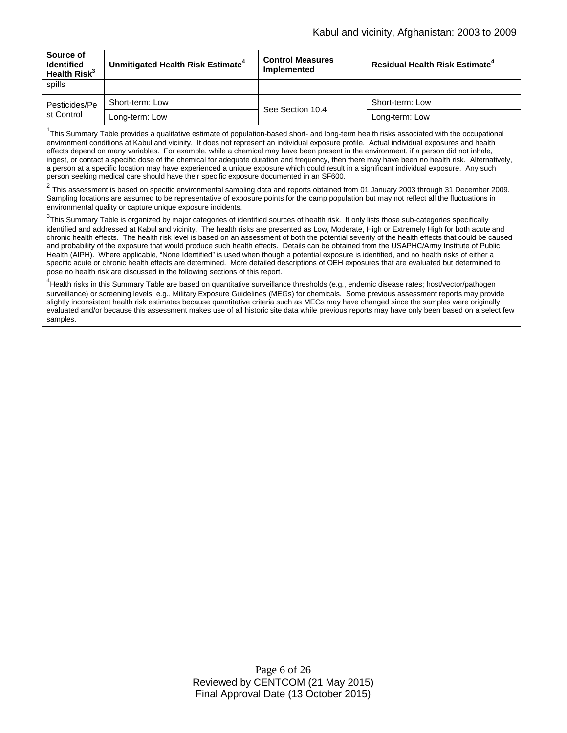| Source of<br><b>Identified</b><br>Health $Risk^3$ | Unmitigated Health Risk Estimate <sup>4</sup> | <b>Control Measures</b><br><b>Implemented</b> | <b>Residual Health Risk Estimate<sup>4</sup></b> |
|---------------------------------------------------|-----------------------------------------------|-----------------------------------------------|--------------------------------------------------|
| spills                                            |                                               |                                               |                                                  |
| Pesticides/Pe<br>st Control                       | Short-term: Low                               | See Section 10.4                              | Short-term: Low                                  |
|                                                   | Long-term: Low                                |                                               | Long-term: Low                                   |

<sup>1</sup>This Summary Table provides a qualitative estimate of population-based short- and long-term health risks associated with the occupational environment conditions at Kabul and vicinity. It does not represent an individual exposure profile. Actual individual exposures and health effects depend on many variables. For example, while a chemical may have been present in the environment, if a person did not inhale, ingest, or contact a specific dose of the chemical for adequate duration and frequency, then there may have been no health risk. Alternatively, a person at a specific location may have experienced a unique exposure which could result in a significant individual exposure. Any such person seeking medical care should have their specific exposure documented in an SF600.

<sup>2</sup> This assessment is based on specific environmental sampling data and reports obtained from 01 January 2003 through 31 December 2009. Sampling locations are assumed to be representative of exposure points for the camp population but may not reflect all the fluctuations in environmental quality or capture unique exposure incidents.

 $^3$ This Summary Table is organized by major categories of identified sources of health risk. It only lists those sub-categories specifically identified and addressed at Kabul and vicinity. The health risks are presented as Low, Moderate, High or Extremely High for both acute and chronic health effects. The health risk level is based on an assessment of both the potential severity of the health effects that could be caused and probability of the exposure that would produce such health effects. Details can be obtained from the USAPHC/Army Institute of Public Health (AIPH). Where applicable, "None Identified" is used when though a potential exposure is identified, and no health risks of either a specific acute or chronic health effects are determined. More detailed descriptions of OEH exposures that are evaluated but determined to pose no health risk are discussed in the following sections of this report.

4 Health risks in this Summary Table are based on quantitative surveillance thresholds (e.g., endemic disease rates; host/vector/pathogen surveillance) or screening levels, e.g., Military Exposure Guidelines (MEGs) for chemicals*.* Some previous assessment reports may provide slightly inconsistent health risk estimates because quantitative criteria such as MEGs may have changed since the samples were originally evaluated and/or because this assessment makes use of all historic site data while previous reports may have only been based on a select few samples.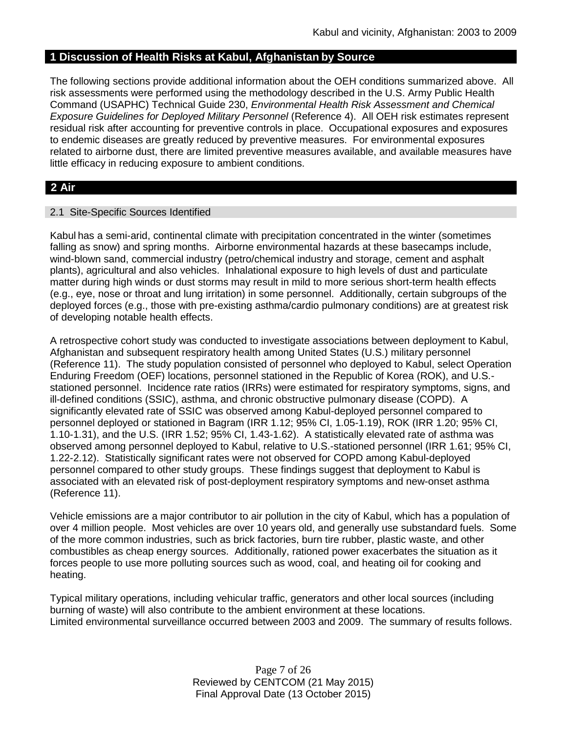## **1 Discussion of Health Risks at Kabul, Afghanistan by Source**

The following sections provide additional information about the OEH conditions summarized above. All risk assessments were performed using the methodology described in the U.S. Army Public Health Command (USAPHC) Technical Guide 230, *Environmental Health Risk Assessment and Chemical Exposure Guidelines for Deployed Military Personnel* (Reference 4). All OEH risk estimates represent residual risk after accounting for preventive controls in place. Occupational exposures and exposures to endemic diseases are greatly reduced by preventive measures. For environmental exposures related to airborne dust, there are limited preventive measures available, and available measures have little efficacy in reducing exposure to ambient conditions.

## **2 Air**

### 2.1 Site-Specific Sources Identified

Kabul has a semi-arid, continental climate with precipitation concentrated in the winter (sometimes falling as snow) and spring months. Airborne environmental hazards at these basecamps include, wind-blown sand, commercial industry (petro/chemical industry and storage, cement and asphalt plants), agricultural and also vehicles. Inhalational exposure to high levels of dust and particulate matter during high winds or dust storms may result in mild to more serious short-term health effects (e.g., eye, nose or throat and lung irritation) in some personnel. Additionally, certain subgroups of the deployed forces (e.g., those with pre-existing asthma/cardio pulmonary conditions) are at greatest risk of developing notable health effects.

A retrospective cohort study was conducted to investigate associations between deployment to Kabul, Afghanistan and subsequent respiratory health among United States (U.S.) military personnel (Reference 11). The study population consisted of personnel who deployed to Kabul, select Operation Enduring Freedom (OEF) locations, personnel stationed in the Republic of Korea (ROK), and U.S. stationed personnel. Incidence rate ratios (IRRs) were estimated for respiratory symptoms, signs, and ill-defined conditions (SSIC), asthma, and chronic obstructive pulmonary disease (COPD). A significantly elevated rate of SSIC was observed among Kabul-deployed personnel compared to personnel deployed or stationed in Bagram (IRR 1.12; 95% CI, 1.05-1.19), ROK (IRR 1.20; 95% CI, 1.10-1.31), and the U.S. (IRR 1.52; 95% CI, 1.43-1.62). A statistically elevated rate of asthma was observed among personnel deployed to Kabul, relative to U.S.-stationed personnel (IRR 1.61; 95% CI, 1.22-2.12). Statistically significant rates were not observed for COPD among Kabul-deployed personnel compared to other study groups. These findings suggest that deployment to Kabul is associated with an elevated risk of post-deployment respiratory symptoms and new-onset asthma (Reference 11).

Vehicle emissions are a major contributor to air pollution in the city of Kabul, which has a population of over 4 million people. Most vehicles are over 10 years old, and generally use substandard fuels. Some of the more common industries, such as brick factories, burn tire rubber, plastic waste, and other combustibles as cheap energy sources. Additionally, rationed power exacerbates the situation as it forces people to use more polluting sources such as wood, coal, and heating oil for cooking and heating.

Typical military operations, including vehicular traffic, generators and other local sources (including burning of waste) will also contribute to the ambient environment at these locations. Limited environmental surveillance occurred between 2003 and 2009. The summary of results follows.

> Page 7 of 26 Reviewed by CENTCOM (21 May 2015) Final Approval Date (13 October 2015)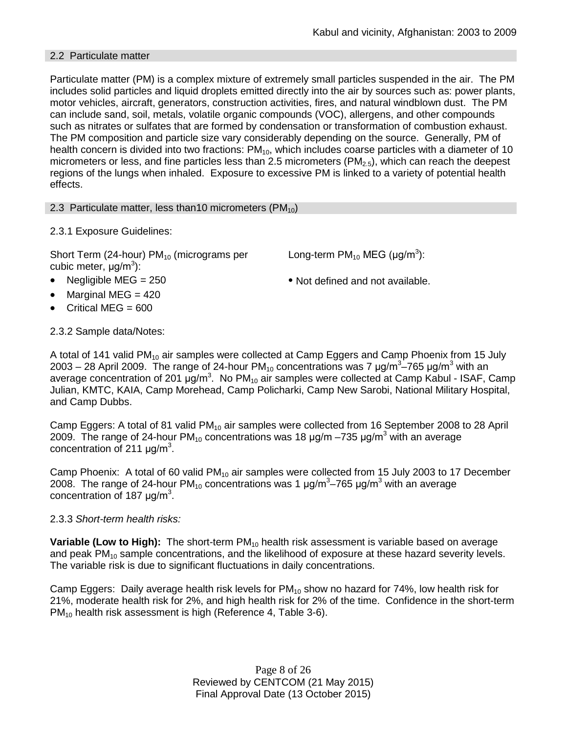## 2.2 Particulate matter

Particulate matter (PM) is a complex mixture of extremely small particles suspended in the air. The PM includes solid particles and liquid droplets emitted directly into the air by sources such as: power plants, motor vehicles, aircraft, generators, construction activities, fires, and natural windblown dust. The PM can include sand, soil, metals, volatile organic compounds (VOC), allergens, and other compounds such as nitrates or sulfates that are formed by condensation or transformation of combustion exhaust. The PM composition and particle size vary considerably depending on the source. Generally, PM of health concern is divided into two fractions:  $PM_{10}$ , which includes coarse particles with a diameter of 10 micrometers or less, and fine particles less than 2.5 micrometers ( $PM<sub>2.5</sub>$ ), which can reach the deepest regions of the lungs when inhaled. Exposure to excessive PM is linked to a variety of potential health effects.

2.3 Particulate matter, less than10 micrometers  $(PM_{10})$ 

2.3.1 Exposure Guidelines:

Short Term (24-hour)  $PM_{10}$  (micrograms per cubic meter, μg/m<sup>3</sup>):

- 
- Marginal MEG  $=$  420
- Critical MEG  $= 600$

2.3.2 Sample data/Notes:

Long-term PM<sub>10</sub> MEG (µg/m<sup>3</sup>):

• Negligible MEG = 250 • Not defined and not available.

A total of 141 valid  $PM_{10}$  air samples were collected at Camp Eggers and Camp Phoenix from 15 July 2003 – 28 April 2009. The range of 24-hour PM<sub>10</sub> concentrations was 7  $\mu$ g/m<sup>3</sup>–765  $\mu$ g/m<sup>3</sup> with an average concentration of 201  $\mu$ g/m<sup>3</sup>. No PM<sub>10</sub> air samples were collected at Camp Kabul - ISAF, Camp Julian, KMTC, KAIA, Camp Morehead, Camp Policharki, Camp New Sarobi, National Military Hospital, and Camp Dubbs.

Camp Eggers: A total of 81 valid  $PM_{10}$  air samples were collected from 16 September 2008 to 28 April 2009. The range of 24-hour PM<sub>10</sub> concentrations was 18  $\mu$ g/m –735  $\mu$ g/m<sup>3</sup> with an average concentration of 211  $\mu$ g/m<sup>3</sup>.

Camp Phoenix: A total of 60 valid  $PM_{10}$  air samples were collected from 15 July 2003 to 17 December 2008. The range of 24-hour PM<sub>10</sub> concentrations was 1  $\mu$ g/m<sup>3</sup>–765  $\mu$ g/m<sup>3</sup> with an average concentration of 187  $\mu$ g/m<sup>3</sup>.

## 2.3.3 *Short-term health risks:*

**Variable (Low to High):** The short-term PM<sub>10</sub> health risk assessment is variable based on average and peak  $PM_{10}$  sample concentrations, and the likelihood of exposure at these hazard severity levels. The variable risk is due to significant fluctuations in daily concentrations.

Camp Eggers: Daily average health risk levels for  $PM_{10}$  show no hazard for 74%, low health risk for 21%, moderate health risk for 2%, and high health risk for 2% of the time. Confidence in the short-term  $PM_{10}$  health risk assessment is high (Reference 4, Table 3-6).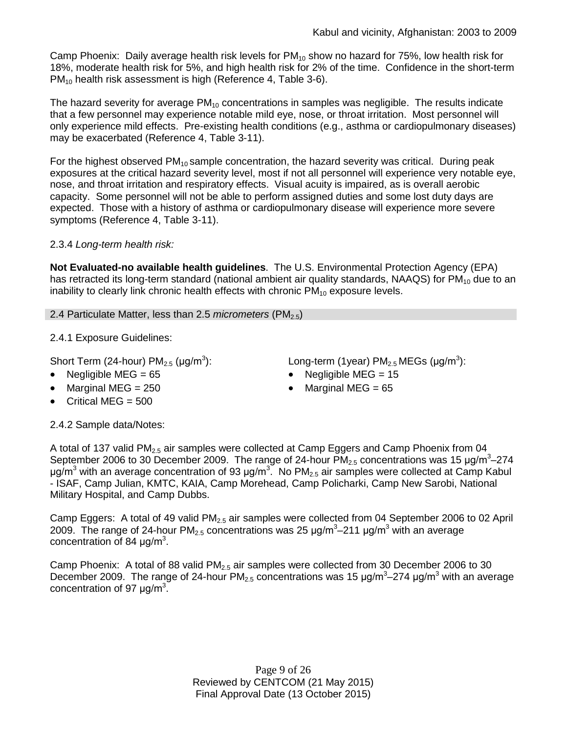Camp Phoenix: Daily average health risk levels for  $PM_{10}$  show no hazard for 75%, low health risk for 18%, moderate health risk for 5%, and high health risk for 2% of the time. Confidence in the short-term PM<sub>10</sub> health risk assessment is high (Reference 4, Table 3-6).

The hazard severity for average  $PM_{10}$  concentrations in samples was negligible. The results indicate that a few personnel may experience notable mild eye, nose, or throat irritation. Most personnel will only experience mild effects. Pre-existing health conditions (e.g., asthma or cardiopulmonary diseases) may be exacerbated (Reference 4, Table 3-11).

For the highest observed  $PM_{10}$  sample concentration, the hazard severity was critical. During peak exposures at the critical hazard severity level, most if not all personnel will experience very notable eye, nose, and throat irritation and respiratory effects. Visual acuity is impaired, as is overall aerobic capacity. Some personnel will not be able to perform assigned duties and some lost duty days are expected. Those with a history of asthma or cardiopulmonary disease will experience more severe symptoms (Reference 4, Table 3-11).

## 2.3.4 *Long-term health risk:*

**Not Evaluated-no available health guidelines**. The U.S. Environmental Protection Agency (EPA) has retracted its long-term standard (national ambient air quality standards, NAAQS) for  $PM_{10}$  due to an inability to clearly link chronic health effects with chronic  $PM_{10}$  exposure levels.

2.4 Particulate Matter, less than 2.5 *micrometers* (PM<sub>2.5</sub>)

2.4.1 Exposure Guidelines:

Short Term (24-hour)  $PM<sub>2.5</sub>$  (µg/m<sup>3</sup>):

- 
- $\text{Marginal MEG} = 250$  Marginal MEG = 65
- Critical MEG = 500

): Long-term (1year)  $PM_{2.5}$  MEGs ( $\mu$ g/m<sup>3</sup>):

- Negligible MEG = 65 Negligible MEG = 15
	-

2.4.2 Sample data/Notes:

A total of 137 valid PM<sub>2.5</sub> air samples were collected at Camp Eggers and Camp Phoenix from 04 September 2006 to 30 December 2009. The range of 24-hour  $PM_{2.5}$  concentrations was 15  $\mu$ g/m<sup>3</sup>-274 μg/m<sup>3</sup> with an average concentration of 93 μg/m<sup>3</sup>. No PM<sub>2.5</sub> air samples were collected at Camp Kabul - ISAF, Camp Julian, KMTC, KAIA, Camp Morehead, Camp Policharki, Camp New Sarobi, National Military Hospital, and Camp Dubbs.

Camp Eggers: A total of 49 valid PM<sub>2.5</sub> air samples were collected from 04 September 2006 to 02 April 2009. The range of 24-hour PM<sub>2.5</sub> concentrations was 25  $\mu$ g/m<sup>3</sup>–211  $\mu$ g/m<sup>3</sup> with an average concentration of 84  $\mu$ g/m<sup>3</sup>.

Camp Phoenix: A total of 88 valid  $PM<sub>2.5</sub>$  air samples were collected from 30 December 2006 to 30 December 2009. The range of 24-hour PM<sub>2.5</sub> concentrations was 15  $\mu$ g/m<sup>3</sup>–274  $\mu$ g/m<sup>3</sup> with an average concentration of 97  $\mu$ g/m<sup>3</sup>.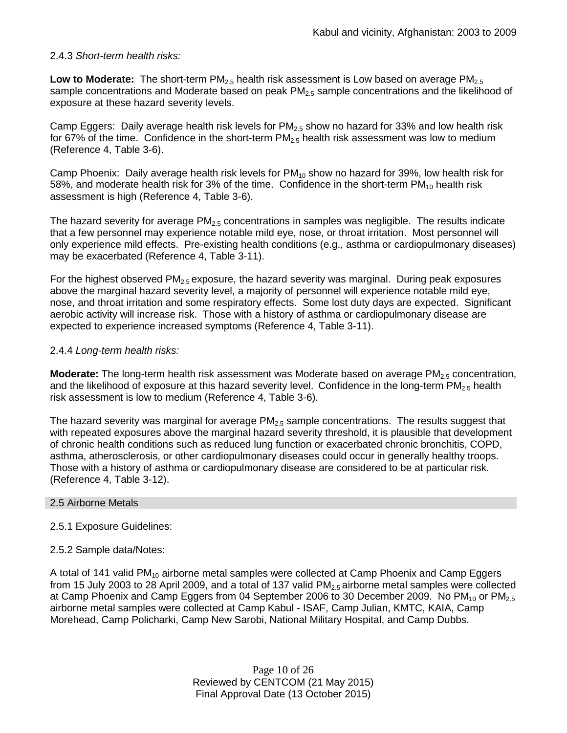## 2.4.3 *Short-term health risks:*

**Low to Moderate:** The short-term PM<sub>2.5</sub> health risk assessment is Low based on average PM<sub>2.5</sub> sample concentrations and Moderate based on peak  $PM<sub>2.5</sub>$  sample concentrations and the likelihood of exposure at these hazard severity levels.

Camp Eggers: Daily average health risk levels for  $PM_{2.5}$  show no hazard for 33% and low health risk for 67% of the time. Confidence in the short-term  $PM_{2.5}$  health risk assessment was low to medium (Reference 4, Table 3-6).

Camp Phoenix: Daily average health risk levels for  $PM_{10}$  show no hazard for 39%, low health risk for 58%, and moderate health risk for 3% of the time. Confidence in the short-term  $PM_{10}$  health risk assessment is high (Reference 4, Table 3-6).

The hazard severity for average  $PM<sub>2.5</sub>$  concentrations in samples was negligible. The results indicate that a few personnel may experience notable mild eye, nose, or throat irritation. Most personnel will only experience mild effects. Pre-existing health conditions (e.g., asthma or cardiopulmonary diseases) may be exacerbated (Reference 4, Table 3-11).

For the highest observed  $PM<sub>2.5</sub>$  exposure, the hazard severity was marginal. During peak exposures above the marginal hazard severity level, a majority of personnel will experience notable mild eye, nose, and throat irritation and some respiratory effects. Some lost duty days are expected. Significant aerobic activity will increase risk. Those with a history of asthma or cardiopulmonary disease are expected to experience increased symptoms (Reference 4, Table 3-11).

### 2.4.4 *Long-term health risks:*

**Moderate:** The long-term health risk assessment was Moderate based on average PM<sub>2.5</sub> concentration, and the likelihood of exposure at this hazard severity level. Confidence in the long-term  $PM_{2.5}$  health risk assessment is low to medium (Reference 4, Table 3-6).

The hazard severity was marginal for average  $PM<sub>2.5</sub>$  sample concentrations. The results suggest that with repeated exposures above the marginal hazard severity threshold, it is plausible that development of chronic health conditions such as reduced lung function or exacerbated chronic bronchitis, COPD, asthma, atherosclerosis, or other cardiopulmonary diseases could occur in generally healthy troops. Those with a history of asthma or cardiopulmonary disease are considered to be at particular risk. (Reference 4, Table 3-12).

#### 2.5 Airborne Metals

## 2.5.1 Exposure Guidelines:

#### 2.5.2 Sample data/Notes:

A total of 141 valid  $PM_{10}$  airborne metal samples were collected at Camp Phoenix and Camp Eggers from 15 July 2003 to 28 April 2009, and a total of 137 valid  $PM<sub>2.5</sub>$  airborne metal samples were collected at Camp Phoenix and Camp Eggers from 04 September 2006 to 30 December 2009. No  $PM_{10}$  or  $PM_{2.5}$ airborne metal samples were collected at Camp Kabul - ISAF, Camp Julian, KMTC, KAIA, Camp Morehead, Camp Policharki, Camp New Sarobi, National Military Hospital, and Camp Dubbs.

> Page 10 of 26 Reviewed by CENTCOM (21 May 2015) Final Approval Date (13 October 2015)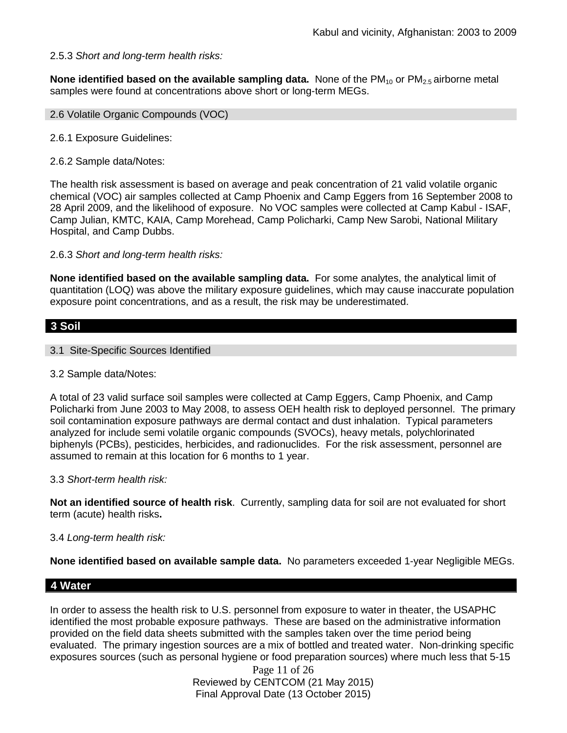## 2.5.3 *Short and long-term health risks:*

**None identified based on the available sampling data.** None of the PM<sub>10</sub> or PM<sub>2.5</sub> airborne metal samples were found at concentrations above short or long-term MEGs.

- 2.6 Volatile Organic Compounds (VOC)
- 2.6.1 Exposure Guidelines:
- 2.6.2 Sample data/Notes:

The health risk assessment is based on average and peak concentration of 21 valid volatile organic chemical (VOC) air samples collected at Camp Phoenix and Camp Eggers from 16 September 2008 to 28 April 2009, and the likelihood of exposure. No VOC samples were collected at Camp Kabul - ISAF, Camp Julian, KMTC, KAIA, Camp Morehead, Camp Policharki, Camp New Sarobi, National Military Hospital, and Camp Dubbs.

2.6.3 *Short and long-term health risks:*

**None identified based on the available sampling data.** For some analytes, the analytical limit of quantitation (LOQ) was above the military exposure guidelines, which may cause inaccurate population exposure point concentrations, and as a result, the risk may be underestimated.

## **3 Soil**

- 3.1 Site-Specific Sources Identified
- 3.2 Sample data/Notes:

A total of 23 valid surface soil samples were collected at Camp Eggers, Camp Phoenix, and Camp Policharki from June 2003 to May 2008, to assess OEH health risk to deployed personnel. The primary soil contamination exposure pathways are dermal contact and dust inhalation. Typical parameters analyzed for include semi volatile organic compounds (SVOCs), heavy metals, polychlorinated biphenyls (PCBs), pesticides, herbicides, and radionuclides. For the risk assessment, personnel are assumed to remain at this location for 6 months to 1 year.

#### 3.3 *Short-term health risk:*

**Not an identified source of health risk**. Currently, sampling data for soil are not evaluated for short term (acute) health risks**.**

#### 3.4 *Long-term health risk:*

**None identified based on available sample data.** No parameters exceeded 1-year Negligible MEGs.

## **4 Water**

In order to assess the health risk to U.S. personnel from exposure to water in theater, the USAPHC identified the most probable exposure pathways. These are based on the administrative information provided on the field data sheets submitted with the samples taken over the time period being evaluated. The primary ingestion sources are a mix of bottled and treated water. Non-drinking specific exposures sources (such as personal hygiene or food preparation sources) where much less that 5-15

Page 11 of 26 Reviewed by CENTCOM (21 May 2015) Final Approval Date (13 October 2015)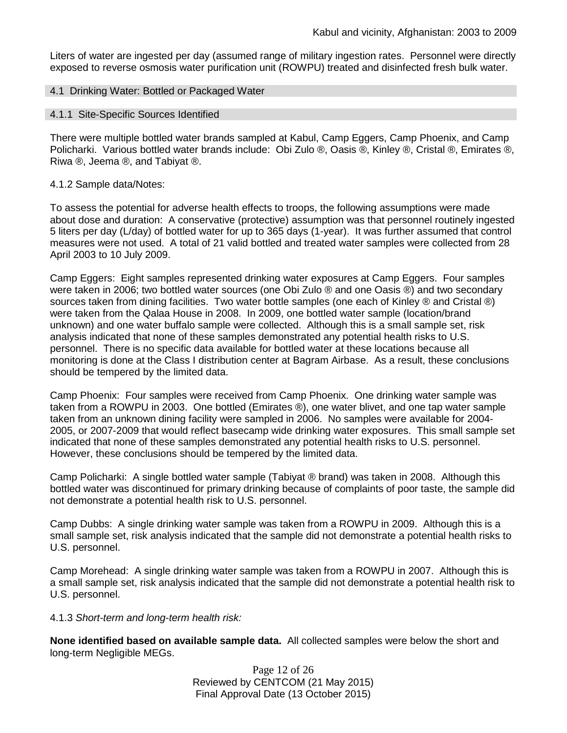Liters of water are ingested per day (assumed range of military ingestion rates. Personnel were directly exposed to reverse osmosis water purification unit (ROWPU) treated and disinfected fresh bulk water.

#### 4.1 Drinking Water: Bottled or Packaged Water

#### 4.1.1 Site-Specific Sources Identified

There were multiple bottled water brands sampled at Kabul, Camp Eggers, Camp Phoenix, and Camp Policharki. Various bottled water brands include: Obi Zulo ®, Oasis ®, Kinley ®, Cristal ®, Emirates ®, Riwa ®, Jeema ®, and Tabiyat ®.

#### 4.1.2 Sample data/Notes:

To assess the potential for adverse health effects to troops, the following assumptions were made about dose and duration: A conservative (protective) assumption was that personnel routinely ingested 5 liters per day (L/day) of bottled water for up to 365 days (1-year). It was further assumed that control measures were not used. A total of 21 valid bottled and treated water samples were collected from 28 April 2003 to 10 July 2009.

Camp Eggers: Eight samples represented drinking water exposures at Camp Eggers. Four samples were taken in 2006; two bottled water sources (one Obi Zulo ® and one Oasis ®) and two secondary sources taken from dining facilities. Two water bottle samples (one each of Kinley ® and Cristal ®) were taken from the Qalaa House in 2008. In 2009, one bottled water sample (location/brand unknown) and one water buffalo sample were collected. Although this is a small sample set, risk analysis indicated that none of these samples demonstrated any potential health risks to U.S. personnel. There is no specific data available for bottled water at these locations because all monitoring is done at the Class I distribution center at Bagram Airbase. As a result, these conclusions should be tempered by the limited data.

Camp Phoenix: Four samples were received from Camp Phoenix. One drinking water sample was taken from a ROWPU in 2003. One bottled (Emirates ®), one water blivet, and one tap water sample taken from an unknown dining facility were sampled in 2006. No samples were available for 2004- 2005, or 2007-2009 that would reflect basecamp wide drinking water exposures. This small sample set indicated that none of these samples demonstrated any potential health risks to U.S. personnel. However, these conclusions should be tempered by the limited data.

Camp Policharki: A single bottled water sample (Tabiyat ® brand) was taken in 2008. Although this bottled water was discontinued for primary drinking because of complaints of poor taste, the sample did not demonstrate a potential health risk to U.S. personnel.

Camp Dubbs: A single drinking water sample was taken from a ROWPU in 2009. Although this is a small sample set, risk analysis indicated that the sample did not demonstrate a potential health risks to U.S. personnel.

Camp Morehead: A single drinking water sample was taken from a ROWPU in 2007. Although this is a small sample set, risk analysis indicated that the sample did not demonstrate a potential health risk to U.S. personnel.

#### 4.1.3 *Short-term and long-term health risk:*

**None identified based on available sample data.** All collected samples were below the short and long-term Negligible MEGs.

> Page 12 of 26 Reviewed by CENTCOM (21 May 2015) Final Approval Date (13 October 2015)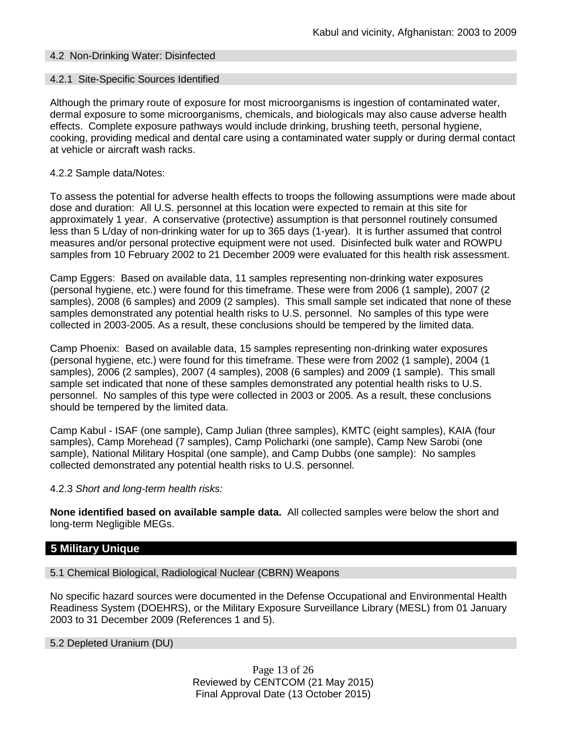### 4.2 Non-Drinking Water: Disinfected

#### 4.2.1 Site-Specific Sources Identified

Although the primary route of exposure for most microorganisms is ingestion of contaminated water, dermal exposure to some microorganisms, chemicals, and biologicals may also cause adverse health effects. Complete exposure pathways would include drinking, brushing teeth, personal hygiene, cooking, providing medical and dental care using a contaminated water supply or during dermal contact at vehicle or aircraft wash racks.

#### 4.2.2 Sample data/Notes:

To assess the potential for adverse health effects to troops the following assumptions were made about dose and duration: All U.S. personnel at this location were expected to remain at this site for approximately 1 year. A conservative (protective) assumption is that personnel routinely consumed less than 5 L/day of non-drinking water for up to 365 days (1-year). It is further assumed that control measures and/or personal protective equipment were not used. Disinfected bulk water and ROWPU samples from 10 February 2002 to 21 December 2009 were evaluated for this health risk assessment.

Camp Eggers: Based on available data, 11 samples representing non-drinking water exposures (personal hygiene, etc.) were found for this timeframe. These were from 2006 (1 sample), 2007 (2 samples), 2008 (6 samples) and 2009 (2 samples). This small sample set indicated that none of these samples demonstrated any potential health risks to U.S. personnel. No samples of this type were collected in 2003-2005. As a result, these conclusions should be tempered by the limited data.

Camp Phoenix: Based on available data, 15 samples representing non-drinking water exposures (personal hygiene, etc.) were found for this timeframe. These were from 2002 (1 sample), 2004 (1 samples), 2006 (2 samples), 2007 (4 samples), 2008 (6 samples) and 2009 (1 sample). This small sample set indicated that none of these samples demonstrated any potential health risks to U.S. personnel. No samples of this type were collected in 2003 or 2005. As a result, these conclusions should be tempered by the limited data.

Camp Kabul - ISAF (one sample), Camp Julian (three samples), KMTC (eight samples), KAIA (four samples), Camp Morehead (7 samples), Camp Policharki (one sample), Camp New Sarobi (one sample), National Military Hospital (one sample), and Camp Dubbs (one sample): No samples collected demonstrated any potential health risks to U.S. personnel.

#### 4.2.3 *Short and long-term health risks:*

**None identified based on available sample data.** All collected samples were below the short and long-term Negligible MEGs.

## **5 Military Unique**

5.1 Chemical Biological, Radiological Nuclear (CBRN) Weapons

No specific hazard sources were documented in the Defense Occupational and Environmental Health Readiness System (DOEHRS), or the Military Exposure Surveillance Library (MESL) from 01 January 2003 to 31 December 2009 (References 1 and 5).

5.2 Depleted Uranium (DU)

Page 13 of 26 Reviewed by CENTCOM (21 May 2015) Final Approval Date (13 October 2015)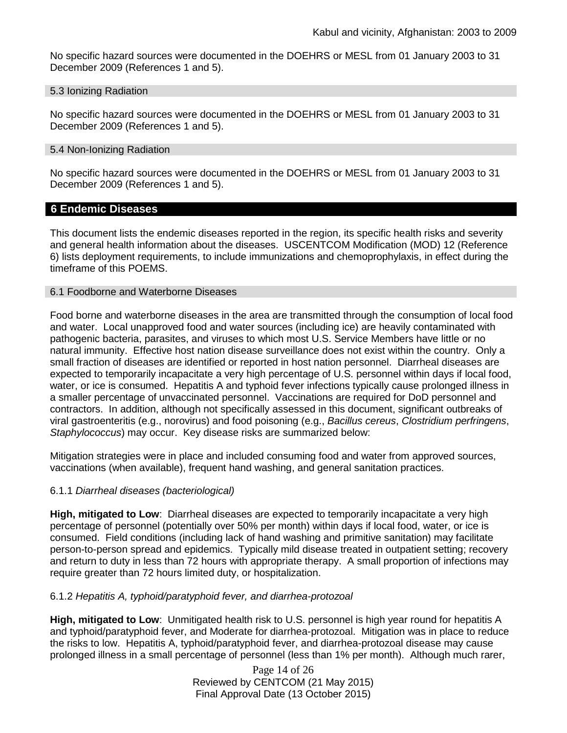No specific hazard sources were documented in the DOEHRS or MESL from 01 January 2003 to 31 December 2009 (References 1 and 5).

#### 5.3 Ionizing Radiation

No specific hazard sources were documented in the DOEHRS or MESL from 01 January 2003 to 31 December 2009 (References 1 and 5).

#### 5.4 Non-Ionizing Radiation

No specific hazard sources were documented in the DOEHRS or MESL from 01 January 2003 to 31 December 2009 (References 1 and 5).

## **6 Endemic Diseases**

This document lists the endemic diseases reported in the region, its specific health risks and severity and general health information about the diseases. USCENTCOM Modification (MOD) 12 (Reference 6) lists deployment requirements, to include immunizations and chemoprophylaxis, in effect during the timeframe of this POEMS.

## 6.1 Foodborne and Waterborne Diseases

Food borne and waterborne diseases in the area are transmitted through the consumption of local food and water. Local unapproved food and water sources (including ice) are heavily contaminated with pathogenic bacteria, parasites, and viruses to which most U.S. Service Members have little or no natural immunity. Effective host nation disease surveillance does not exist within the country. Only a small fraction of diseases are identified or reported in host nation personnel. Diarrheal diseases are expected to temporarily incapacitate a very high percentage of U.S. personnel within days if local food, water, or ice is consumed. Hepatitis A and typhoid fever infections typically cause prolonged illness in a smaller percentage of unvaccinated personnel. Vaccinations are required for DoD personnel and contractors. In addition, although not specifically assessed in this document, significant outbreaks of viral gastroenteritis (e.g., norovirus) and food poisoning (e.g., *Bacillus cereus*, *Clostridium perfringens*, *Staphylococcus*) may occur. Key disease risks are summarized below:

Mitigation strategies were in place and included consuming food and water from approved sources, vaccinations (when available), frequent hand washing, and general sanitation practices.

#### 6.1.1 *Diarrheal diseases (bacteriological)*

**High, mitigated to Low**: Diarrheal diseases are expected to temporarily incapacitate a very high percentage of personnel (potentially over 50% per month) within days if local food, water, or ice is consumed. Field conditions (including lack of hand washing and primitive sanitation) may facilitate person-to-person spread and epidemics. Typically mild disease treated in outpatient setting; recovery and return to duty in less than 72 hours with appropriate therapy. A small proportion of infections may require greater than 72 hours limited duty, or hospitalization.

#### 6.1.2 *Hepatitis A, typhoid/paratyphoid fever, and diarrhea-protozoal*

**High, mitigated to Low**: Unmitigated health risk to U.S. personnel is high year round for hepatitis A and typhoid/paratyphoid fever, and Moderate for diarrhea-protozoal. Mitigation was in place to reduce the risks to low. Hepatitis A, typhoid/paratyphoid fever, and diarrhea-protozoal disease may cause prolonged illness in a small percentage of personnel (less than 1% per month). Although much rarer,

> Page 14 of 26 Reviewed by CENTCOM (21 May 2015) Final Approval Date (13 October 2015)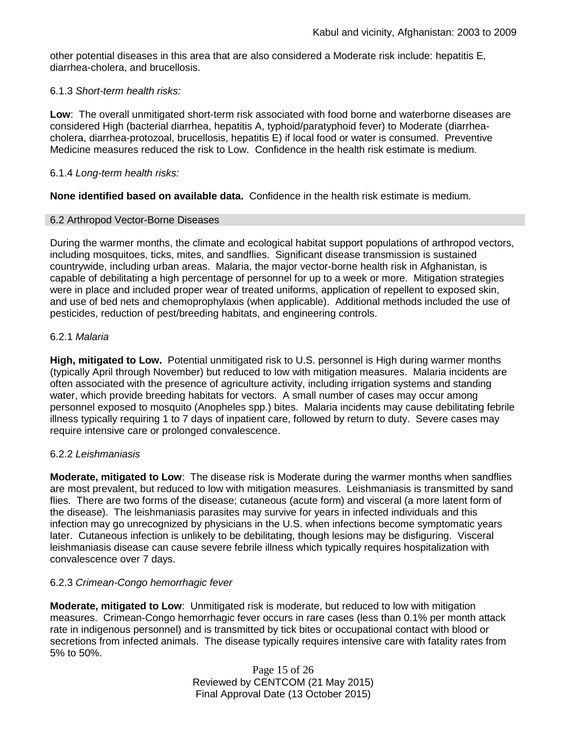other potential diseases in this area that are also considered a Moderate risk include: hepatitis E, diarrhea-cholera, and brucellosis.

### 6.1.3 *Short-term health risks:*

**Low**: The overall unmitigated short-term risk associated with food borne and waterborne diseases are considered High (bacterial diarrhea, hepatitis A, typhoid/paratyphoid fever) to Moderate (diarrheacholera, diarrhea-protozoal, brucellosis, hepatitis E) if local food or water is consumed. Preventive Medicine measures reduced the risk to Low. Confidence in the health risk estimate is medium.

### 6.1.4 *Long-term health risks:*

**None identified based on available data.** Confidence in the health risk estimate is medium.

### 6.2 Arthropod Vector-Borne Diseases

During the warmer months, the climate and ecological habitat support populations of arthropod vectors, including mosquitoes, ticks, mites, and sandflies. Significant disease transmission is sustained countrywide, including urban areas. Malaria, the major vector-borne health risk in Afghanistan, is capable of debilitating a high percentage of personnel for up to a week or more. Mitigation strategies were in place and included proper wear of treated uniforms, application of repellent to exposed skin, and use of bed nets and chemoprophylaxis (when applicable). Additional methods included the use of pesticides, reduction of pest/breeding habitats, and engineering controls.

### 6.2.1 *Malaria*

**High, mitigated to Low.** Potential unmitigated risk to U.S. personnel is High during warmer months (typically April through November) but reduced to low with mitigation measures. Malaria incidents are often associated with the presence of agriculture activity, including irrigation systems and standing water, which provide breeding habitats for vectors. A small number of cases may occur among personnel exposed to mosquito (Anopheles spp.) bites. Malaria incidents may cause debilitating febrile illness typically requiring 1 to 7 days of inpatient care, followed by return to duty. Severe cases may require intensive care or prolonged convalescence.

## 6.2.2 *Leishmaniasis*

**Moderate, mitigated to Low**: The disease risk is Moderate during the warmer months when sandflies are most prevalent, but reduced to low with mitigation measures. Leishmaniasis is transmitted by sand flies. There are two forms of the disease; cutaneous (acute form) and visceral (a more latent form of the disease). The leishmaniasis parasites may survive for years in infected individuals and this infection may go unrecognized by physicians in the U.S. when infections become symptomatic years later. Cutaneous infection is unlikely to be debilitating, though lesions may be disfiguring. Visceral leishmaniasis disease can cause severe febrile illness which typically requires hospitalization with convalescence over 7 days.

## 6.2.3 *Crimean-Congo hemorrhagic fever*

**Moderate, mitigated to Low**: Unmitigated risk is moderate, but reduced to low with mitigation measures. Crimean-Congo hemorrhagic fever occurs in rare cases (less than 0.1% per month attack rate in indigenous personnel) and is transmitted by tick bites or occupational contact with blood or secretions from infected animals. The disease typically requires intensive care with fatality rates from 5% to 50%.

> Page 15 of 26 Reviewed by CENTCOM (21 May 2015) Final Approval Date (13 October 2015)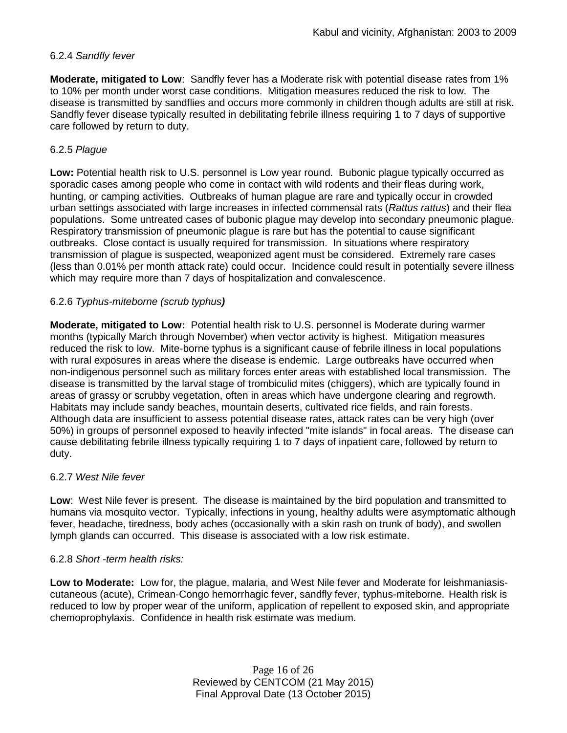## 6.2.4 *Sandfly fever*

**Moderate, mitigated to Low**: Sandfly fever has a Moderate risk with potential disease rates from 1% to 10% per month under worst case conditions. Mitigation measures reduced the risk to low. The disease is transmitted by sandflies and occurs more commonly in children though adults are still at risk. Sandfly fever disease typically resulted in debilitating febrile illness requiring 1 to 7 days of supportive care followed by return to duty.

## 6.2.5 *Plague*

**Low:** Potential health risk to U.S. personnel is Low year round. Bubonic plague typically occurred as sporadic cases among people who come in contact with wild rodents and their fleas during work, hunting, or camping activities. Outbreaks of human plague are rare and typically occur in crowded urban settings associated with large increases in infected commensal rats (*Rattus rattus*) and their flea populations. Some untreated cases of bubonic plague may develop into secondary pneumonic plague. Respiratory transmission of pneumonic plague is rare but has the potential to cause significant outbreaks. Close contact is usually required for transmission. In situations where respiratory transmission of plague is suspected, weaponized agent must be considered. Extremely rare cases (less than 0.01% per month attack rate) could occur. Incidence could result in potentially severe illness which may require more than 7 days of hospitalization and convalescence.

## 6.2.6 *Typhus-miteborne (scrub typhus)*

**Moderate, mitigated to Low:** Potential health risk to U.S. personnel is Moderate during warmer months (typically March through November) when vector activity is highest. Mitigation measures reduced the risk to low. Mite-borne typhus is a significant cause of febrile illness in local populations with rural exposures in areas where the disease is endemic. Large outbreaks have occurred when non-indigenous personnel such as military forces enter areas with established local transmission. The disease is transmitted by the larval stage of trombiculid mites (chiggers), which are typically found in areas of grassy or scrubby vegetation, often in areas which have undergone clearing and regrowth. Habitats may include sandy beaches, mountain deserts, cultivated rice fields, and rain forests. Although data are insufficient to assess potential disease rates, attack rates can be very high (over 50%) in groups of personnel exposed to heavily infected "mite islands" in focal areas. The disease can cause debilitating febrile illness typically requiring 1 to 7 days of inpatient care, followed by return to duty.

## 6.2.7 *West Nile fever*

**Low**: West Nile fever is present. The disease is maintained by the bird population and transmitted to humans via mosquito vector. Typically, infections in young, healthy adults were asymptomatic although fever, headache, tiredness, body aches (occasionally with a skin rash on trunk of body), and swollen lymph glands can occurred. This disease is associated with a low risk estimate.

#### 6.2.8 *Short -term health risks:*

**Low to Moderate:** Low for, the plague, malaria, and West Nile fever and Moderate for leishmaniasiscutaneous (acute), Crimean-Congo hemorrhagic fever, sandfly fever, typhus-miteborne. Health risk is reduced to low by proper wear of the uniform, application of repellent to exposed skin, and appropriate chemoprophylaxis. Confidence in health risk estimate was medium.

> Page 16 of 26 Reviewed by CENTCOM (21 May 2015) Final Approval Date (13 October 2015)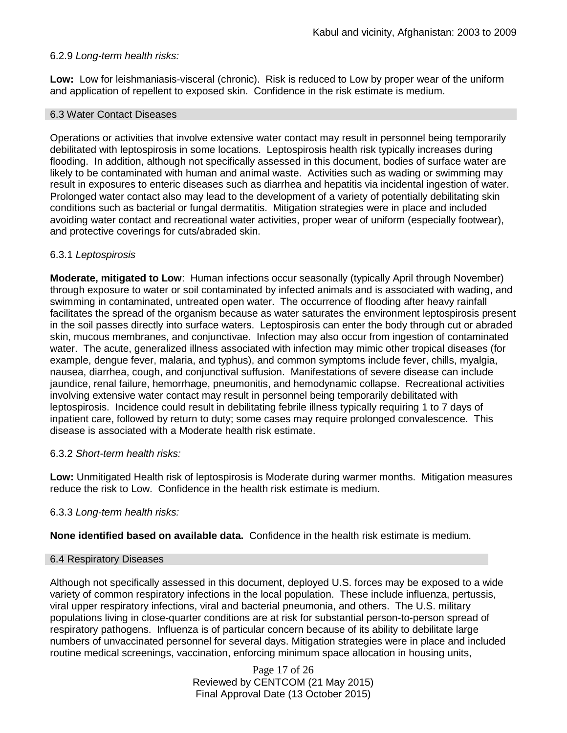### 6.2.9 *Long-term health risks:*

**Low:** Low for leishmaniasis-visceral (chronic). Risk is reduced to Low by proper wear of the uniform and application of repellent to exposed skin. Confidence in the risk estimate is medium.

#### 6.3 Water Contact Diseases

Operations or activities that involve extensive water contact may result in personnel being temporarily debilitated with leptospirosis in some locations. Leptospirosis health risk typically increases during flooding. In addition, although not specifically assessed in this document, bodies of surface water are likely to be contaminated with human and animal waste. Activities such as wading or swimming may result in exposures to enteric diseases such as diarrhea and hepatitis via incidental ingestion of water. Prolonged water contact also may lead to the development of a variety of potentially debilitating skin conditions such as bacterial or fungal dermatitis. Mitigation strategies were in place and included avoiding water contact and recreational water activities, proper wear of uniform (especially footwear), and protective coverings for cuts/abraded skin.

### 6.3.1 *Leptospirosis*

**Moderate, mitigated to Low**: Human infections occur seasonally (typically April through November) through exposure to water or soil contaminated by infected animals and is associated with wading, and swimming in contaminated, untreated open water. The occurrence of flooding after heavy rainfall facilitates the spread of the organism because as water saturates the environment leptospirosis present in the soil passes directly into surface waters. Leptospirosis can enter the body through cut or abraded skin, mucous membranes, and conjunctivae. Infection may also occur from ingestion of contaminated water. The acute, generalized illness associated with infection may mimic other tropical diseases (for example, dengue fever, malaria, and typhus), and common symptoms include fever, chills, myalgia, nausea, diarrhea, cough, and conjunctival suffusion. Manifestations of severe disease can include jaundice, renal failure, hemorrhage, pneumonitis, and hemodynamic collapse. Recreational activities involving extensive water contact may result in personnel being temporarily debilitated with leptospirosis. Incidence could result in debilitating febrile illness typically requiring 1 to 7 days of inpatient care, followed by return to duty; some cases may require prolonged convalescence. This disease is associated with a Moderate health risk estimate.

#### 6.3.2 *Short-term health risks:*

**Low:** Unmitigated Health risk of leptospirosis is Moderate during warmer months. Mitigation measures reduce the risk to Low. Confidence in the health risk estimate is medium.

#### 6.3.3 *Long-term health risks:*

**None identified based on available data.** Confidence in the health risk estimate is medium.

#### 6.4 Respiratory Diseases

Although not specifically assessed in this document, deployed U.S. forces may be exposed to a wide variety of common respiratory infections in the local population. These include influenza, pertussis, viral upper respiratory infections, viral and bacterial pneumonia, and others. The U.S. military populations living in close-quarter conditions are at risk for substantial person-to-person spread of respiratory pathogens. Influenza is of particular concern because of its ability to debilitate large numbers of unvaccinated personnel for several days. Mitigation strategies were in place and included routine medical screenings, vaccination, enforcing minimum space allocation in housing units,

> Page 17 of 26 Reviewed by CENTCOM (21 May 2015) Final Approval Date (13 October 2015)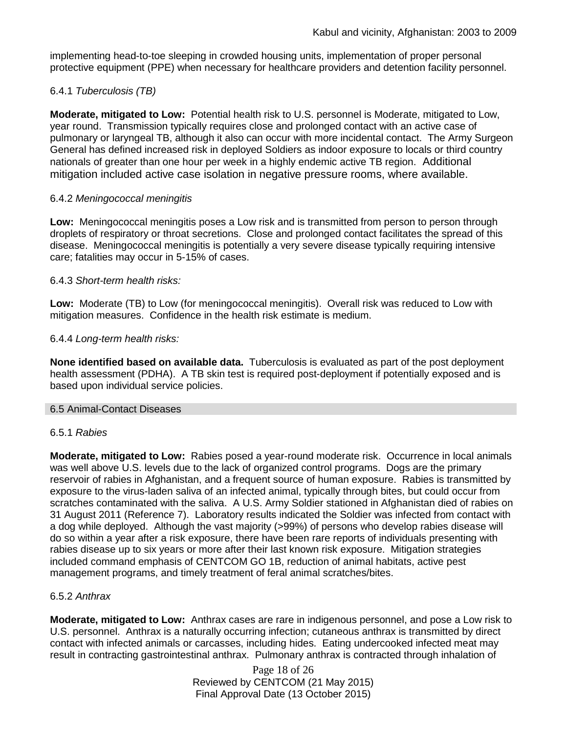implementing head-to-toe sleeping in crowded housing units, implementation of proper personal protective equipment (PPE) when necessary for healthcare providers and detention facility personnel.

## 6.4.1 *Tuberculosis (TB)*

**Moderate, mitigated to Low:** Potential health risk to U.S. personnel is Moderate, mitigated to Low, year round. Transmission typically requires close and prolonged contact with an active case of pulmonary or laryngeal TB, although it also can occur with more incidental contact. The Army Surgeon General has defined increased risk in deployed Soldiers as indoor exposure to locals or third country nationals of greater than one hour per week in a highly endemic active TB region. Additional mitigation included active case isolation in negative pressure rooms, where available.

## 6.4.2 *Meningococcal meningitis*

**Low:** Meningococcal meningitis poses a Low risk and is transmitted from person to person through droplets of respiratory or throat secretions. Close and prolonged contact facilitates the spread of this disease. Meningococcal meningitis is potentially a very severe disease typically requiring intensive care; fatalities may occur in 5-15% of cases.

### 6.4.3 *Short-term health risks:*

**Low:** Moderate (TB) to Low (for meningococcal meningitis). Overall risk was reduced to Low with mitigation measures. Confidence in the health risk estimate is medium.

## 6.4.4 *Long-term health risks:*

**None identified based on available data.** Tuberculosis is evaluated as part of the post deployment health assessment (PDHA). A TB skin test is required post-deployment if potentially exposed and is based upon individual service policies.

#### 6.5 Animal-Contact Diseases

#### 6.5.1 *Rabies*

**Moderate, mitigated to Low:** Rabies posed a year-round moderate risk. Occurrence in local animals was well above U.S. levels due to the lack of organized control programs. Dogs are the primary reservoir of rabies in Afghanistan, and a frequent source of human exposure. Rabies is transmitted by exposure to the virus-laden saliva of an infected animal, typically through bites, but could occur from scratches contaminated with the saliva. A U.S. Army Soldier stationed in Afghanistan died of rabies on 31 August 2011 (Reference 7). Laboratory results indicated the Soldier was infected from contact with a dog while deployed. Although the vast majority (>99%) of persons who develop rabies disease will do so within a year after a risk exposure, there have been rare reports of individuals presenting with rabies disease up to six years or more after their last known risk exposure. Mitigation strategies included command emphasis of CENTCOM GO 1B, reduction of animal habitats, active pest management programs, and timely treatment of feral animal scratches/bites.

## 6.5.2 *Anthrax*

**Moderate, mitigated to Low:** Anthrax cases are rare in indigenous personnel, and pose a Low risk to U.S. personnel. Anthrax is a naturally occurring infection; cutaneous anthrax is transmitted by direct contact with infected animals or carcasses, including hides. Eating undercooked infected meat may result in contracting gastrointestinal anthrax. Pulmonary anthrax is contracted through inhalation of

> Page 18 of 26 Reviewed by CENTCOM (21 May 2015) Final Approval Date (13 October 2015)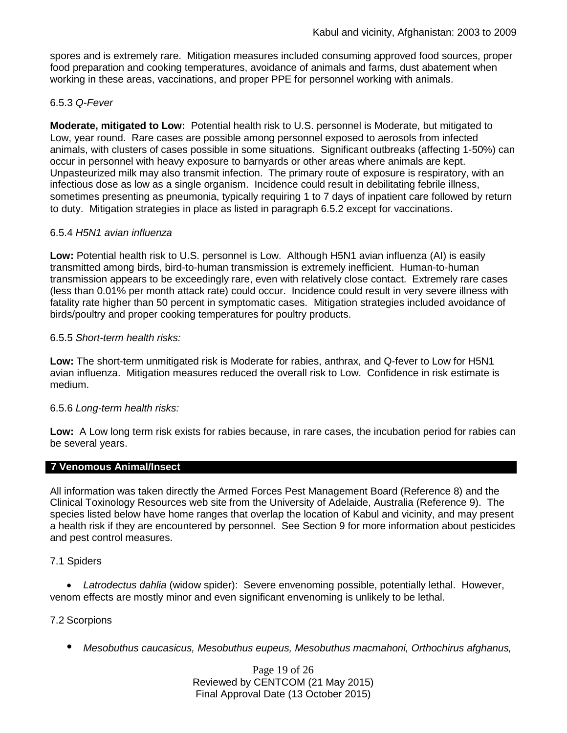spores and is extremely rare. Mitigation measures included consuming approved food sources, proper food preparation and cooking temperatures, avoidance of animals and farms, dust abatement when working in these areas, vaccinations, and proper PPE for personnel working with animals.

## 6.5.3 *Q-Fever*

**Moderate, mitigated to Low:** Potential health risk to U.S. personnel is Moderate, but mitigated to Low, year round. Rare cases are possible among personnel exposed to aerosols from infected animals, with clusters of cases possible in some situations. Significant outbreaks (affecting 1-50%) can occur in personnel with heavy exposure to barnyards or other areas where animals are kept. Unpasteurized milk may also transmit infection. The primary route of exposure is respiratory, with an infectious dose as low as a single organism. Incidence could result in debilitating febrile illness, sometimes presenting as pneumonia, typically requiring 1 to 7 days of inpatient care followed by return to duty. Mitigation strategies in place as listed in paragraph 6.5.2 except for vaccinations.

## 6.5.4 *H5N1 avian influenza*

**Low:** Potential health risk to U.S. personnel is Low. Although H5N1 avian influenza (AI) is easily transmitted among birds, bird-to-human transmission is extremely inefficient. Human-to-human transmission appears to be exceedingly rare, even with relatively close contact. Extremely rare cases (less than 0.01% per month attack rate) could occur. Incidence could result in very severe illness with fatality rate higher than 50 percent in symptomatic cases. Mitigation strategies included avoidance of birds/poultry and proper cooking temperatures for poultry products.

## 6.5.5 *Short-term health risks:*

**Low:** The short-term unmitigated risk is Moderate for rabies, anthrax, and Q-fever to Low for H5N1 avian influenza. Mitigation measures reduced the overall risk to Low.Confidence in risk estimate is medium.

## 6.5.6 *Long-term health risks:*

**Low:** A Low long term risk exists for rabies because, in rare cases, the incubation period for rabies can be several years.

## **7 Venomous Animal/Insect**

All information was taken directly the Armed Forces Pest Management Board (Reference 8) and the Clinical Toxinology Resources web site from the University of Adelaide, Australia (Reference 9). The species listed below have home ranges that overlap the location of Kabul and vicinity, and may present a health risk if they are encountered by personnel. See Section 9 for more information about pesticides and pest control measures.

## 7.1 Spiders

• *Latrodectus dahlia* (widow spider): Severe envenoming possible, potentially lethal. However, venom effects are mostly minor and even significant envenoming is unlikely to be lethal.

## 7.2 Scorpions

*• Mesobuthus caucasicus, Mesobuthus eupeus, Mesobuthus macmahoni, Orthochirus afghanus,*

Page 19 of 26 Reviewed by CENTCOM (21 May 2015) Final Approval Date (13 October 2015)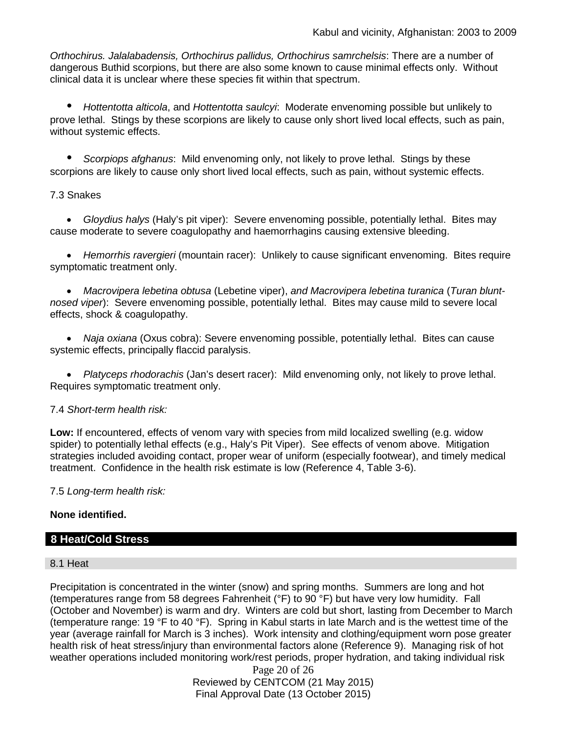*Orthochirus. Jalalabadensis, Orthochirus pallidus, Orthochirus samrchelsis*: There are a number of dangerous Buthid scorpions, but there are also some known to cause minimal effects only. Without clinical data it is unclear where these species fit within that spectrum.

*• Hottentotta alticola*, and *Hottentotta saulcyi*: Moderate envenoming possible but unlikely to prove lethal. Stings by these scorpions are likely to cause only short lived local effects, such as pain, without systemic effects.

*• Scorpiops afghanus*: Mild envenoming only, not likely to prove lethal. Stings by these scorpions are likely to cause only short lived local effects, such as pain, without systemic effects.

### 7.3 Snakes

• *Gloydius halys* (Haly's pit viper): Severe envenoming possible, potentially lethal. Bites may cause moderate to severe coagulopathy and haemorrhagins causing extensive bleeding.

• *Hemorrhis ravergieri* (mountain racer): Unlikely to cause significant envenoming. Bites require symptomatic treatment only.

• *Macrovipera lebetina obtusa* (Lebetine viper), *and Macrovipera lebetina turanica* (*Turan bluntnosed viper*): Severe envenoming possible, potentially lethal. Bites may cause mild to severe local effects, shock & coagulopathy.

• *Naja oxiana* (Oxus cobra): Severe envenoming possible, potentially lethal. Bites can cause systemic effects, principally flaccid paralysis.

• *Platyceps rhodorachis* (Jan's desert racer): Mild envenoming only, not likely to prove lethal. Requires symptomatic treatment only.

#### 7.4 *Short-term health risk:*

**Low:** If encountered, effects of venom vary with species from mild localized swelling (e.g. widow spider) to potentially lethal effects (e.g., Haly's Pit Viper). See effects of venom above. Mitigation strategies included avoiding contact, proper wear of uniform (especially footwear), and timely medical treatment. Confidence in the health risk estimate is low (Reference 4, Table 3-6).

7.5 *Long-term health risk:*

## **None identified.**

## **8 Heat/Cold Stress**

#### 8.1 Heat

Precipitation is concentrated in the winter (snow) and spring months. Summers are long and hot (temperatures range from 58 degrees Fahrenheit (°F) to 90 °F) but have very low humidity. Fall (October and November) is warm and dry. Winters are cold but short, lasting from December to March (temperature range: 19 °F to 40 °F). Spring in Kabul starts in late March and is the wettest time of the year (average rainfall for March is 3 inches). Work intensity and clothing/equipment worn pose greater health risk of heat stress/injury than environmental factors alone (Reference 9). Managing risk of hot weather operations included monitoring work/rest periods, proper hydration, and taking individual risk

Page 20 of 26 Reviewed by CENTCOM (21 May 2015) Final Approval Date (13 October 2015)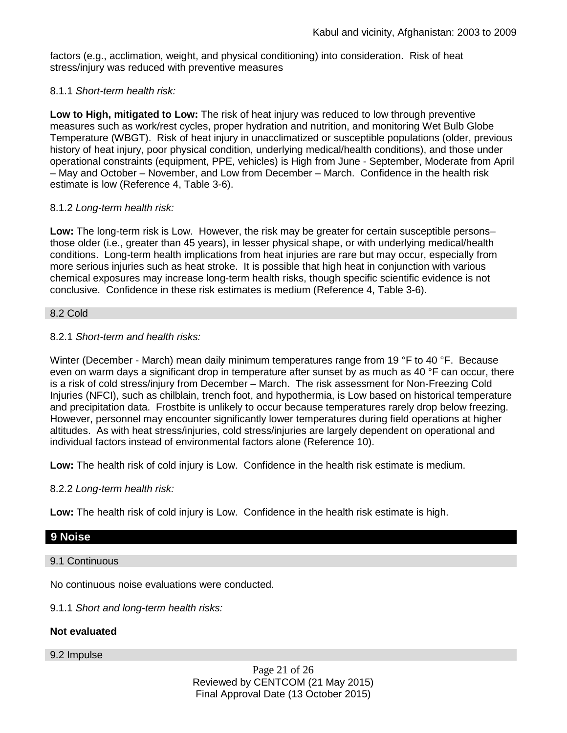factors (e.g., acclimation, weight, and physical conditioning) into consideration. Risk of heat stress/injury was reduced with preventive measures

### 8.1.1 *Short-term health risk:*

**Low to High, mitigated to Low:** The risk of heat injury was reduced to low through preventive measures such as work/rest cycles, proper hydration and nutrition, and monitoring Wet Bulb Globe Temperature (WBGT). Risk of heat injury in unacclimatized or susceptible populations (older, previous history of heat injury, poor physical condition, underlying medical/health conditions), and those under operational constraints (equipment, PPE, vehicles) is High from June - September, Moderate from April – May and October – November, and Low from December – March. Confidence in the health risk estimate is low (Reference 4, Table 3-6).

### 8.1.2 *Long-term health risk:*

**Low:** The long-term risk is Low. However, the risk may be greater for certain susceptible persons– those older (i.e., greater than 45 years), in lesser physical shape, or with underlying medical/health conditions. Long-term health implications from heat injuries are rare but may occur, especially from more serious injuries such as heat stroke. It is possible that high heat in conjunction with various chemical exposures may increase long-term health risks, though specific scientific evidence is not conclusive. Confidence in these risk estimates is medium (Reference 4, Table 3-6).

#### 8.2 Cold

## 8.2.1 *Short-term and health risks:*

Winter (December - March) mean daily minimum temperatures range from 19 °F to 40 °F. Because even on warm days a significant drop in temperature after sunset by as much as 40 °F can occur, there is a risk of cold stress/injury from December – March. The risk assessment for Non-Freezing Cold Injuries (NFCI), such as chilblain, trench foot, and hypothermia, is Low based on historical temperature and precipitation data. Frostbite is unlikely to occur because temperatures rarely drop below freezing. However, personnel may encounter significantly lower temperatures during field operations at higher altitudes. As with heat stress/injuries, cold stress/injuries are largely dependent on operational and individual factors instead of environmental factors alone (Reference 10).

**Low:** The health risk of cold injury is Low. Confidence in the health risk estimate is medium.

#### 8.2.2 *Long-term health risk:*

**Low:** The health risk of cold injury is Low. Confidence in the health risk estimate is high.

## **9 Noise**

#### 9.1 Continuous

No continuous noise evaluations were conducted.

9.1.1 *Short and long-term health risks:*

## **Not evaluated**

9.2 Impulse

Page 21 of 26 Reviewed by CENTCOM (21 May 2015) Final Approval Date (13 October 2015)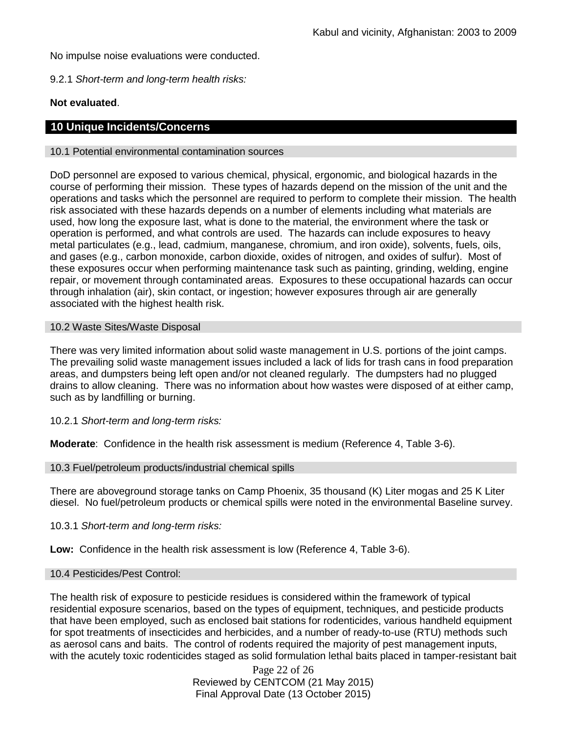No impulse noise evaluations were conducted.

9.2.1 *Short-term and long-term health risks:*

## **Not evaluated**.

## **10 Unique Incidents/Concerns**

#### 10.1 Potential environmental contamination sources

DoD personnel are exposed to various chemical, physical, ergonomic, and biological hazards in the course of performing their mission. These types of hazards depend on the mission of the unit and the operations and tasks which the personnel are required to perform to complete their mission. The health risk associated with these hazards depends on a number of elements including what materials are used, how long the exposure last, what is done to the material, the environment where the task or operation is performed, and what controls are used. The hazards can include exposures to heavy metal particulates (e.g., lead, cadmium, manganese, chromium, and iron oxide), solvents, fuels, oils, and gases (e.g., carbon monoxide, carbon dioxide, oxides of nitrogen, and oxides of sulfur). Most of these exposures occur when performing maintenance task such as painting, grinding, welding, engine repair, or movement through contaminated areas. Exposures to these occupational hazards can occur through inhalation (air), skin contact, or ingestion; however exposures through air are generally associated with the highest health risk.

#### 10.2 Waste Sites/Waste Disposal

There was very limited information about solid waste management in U.S. portions of the joint camps. The prevailing solid waste management issues included a lack of lids for trash cans in food preparation areas, and dumpsters being left open and/or not cleaned regularly. The dumpsters had no plugged drains to allow cleaning. There was no information about how wastes were disposed of at either camp, such as by landfilling or burning.

10.2.1 *Short-term and long-term risks:* 

**Moderate**: Confidence in the health risk assessment is medium (Reference 4, Table 3-6).

## 10.3 Fuel/petroleum products/industrial chemical spills

There are aboveground storage tanks on Camp Phoenix, 35 thousand (K) Liter mogas and 25 K Liter diesel. No fuel/petroleum products or chemical spills were noted in the environmental Baseline survey.

10.3.1 *Short-term and long-term risks:* 

**Low:** Confidence in the health risk assessment is low (Reference 4, Table 3-6).

#### 10.4 Pesticides/Pest Control:

The health risk of exposure to pesticide residues is considered within the framework of typical residential exposure scenarios, based on the types of equipment, techniques, and pesticide products that have been employed, such as enclosed bait stations for rodenticides, various handheld equipment for spot treatments of insecticides and herbicides, and a number of ready-to-use (RTU) methods such as aerosol cans and baits. The control of rodents required the majority of pest management inputs, with the acutely toxic rodenticides staged as solid formulation lethal baits placed in tamper-resistant bait

> Page 22 of 26 Reviewed by CENTCOM (21 May 2015) Final Approval Date (13 October 2015)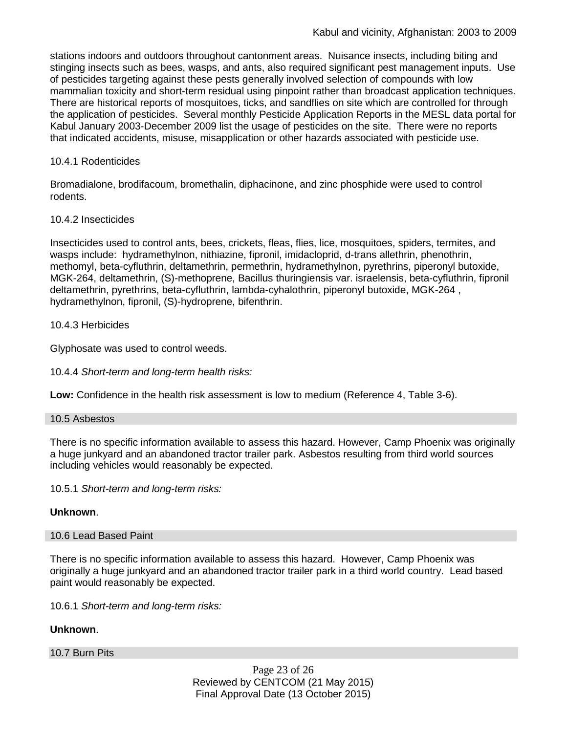stations indoors and outdoors throughout cantonment areas. Nuisance insects, including biting and stinging insects such as bees, wasps, and ants, also required significant pest management inputs. Use of pesticides targeting against these pests generally involved selection of compounds with low mammalian toxicity and short-term residual using pinpoint rather than broadcast application techniques. There are historical reports of mosquitoes, ticks, and sandflies on site which are controlled for through the application of pesticides. Several monthly Pesticide Application Reports in the MESL data portal for Kabul January 2003-December 2009 list the usage of pesticides on the site. There were no reports that indicated accidents, misuse, misapplication or other hazards associated with pesticide use.

## 10.4.1 Rodenticides

Bromadialone, brodifacoum, bromethalin, diphacinone, and zinc phosphide were used to control rodents.

## 10.4.2 Insecticides

Insecticides used to control ants, bees, crickets, fleas, flies, lice, mosquitoes, spiders, termites, and wasps include: hydramethylnon, nithiazine, fipronil, imidacloprid, d-trans allethrin, phenothrin, methomyl, beta-cyfluthrin, deltamethrin, permethrin, hydramethylnon, pyrethrins, piperonyl butoxide, MGK-264, deltamethrin, (S)-methoprene, Bacillus thuringiensis var. israelensis, beta-cyfluthrin, fipronil deltamethrin, pyrethrins, beta-cyfluthrin, lambda-cyhalothrin, piperonyl butoxide, MGK-264 , hydramethylnon, fipronil, (S)-hydroprene, bifenthrin.

10.4.3 Herbicides

Glyphosate was used to control weeds.

10.4.4 *Short-term and long-term health risks:*

**Low:** Confidence in the health risk assessment is low to medium (Reference 4, Table 3-6).

## 10.5 Asbestos

There is no specific information available to assess this hazard. However, Camp Phoenix was originally a huge junkyard and an abandoned tractor trailer park. Asbestos resulting from third world sources including vehicles would reasonably be expected.

10.5.1 *Short-term and long-term risks:*

## **Unknown**.

## 10.6 Lead Based Paint

There is no specific information available to assess this hazard. However, Camp Phoenix was originally a huge junkyard and an abandoned tractor trailer park in a third world country. Lead based paint would reasonably be expected.

10.6.1 *Short-term and long-term risks:*

## **Unknown**.

10.7 Burn Pits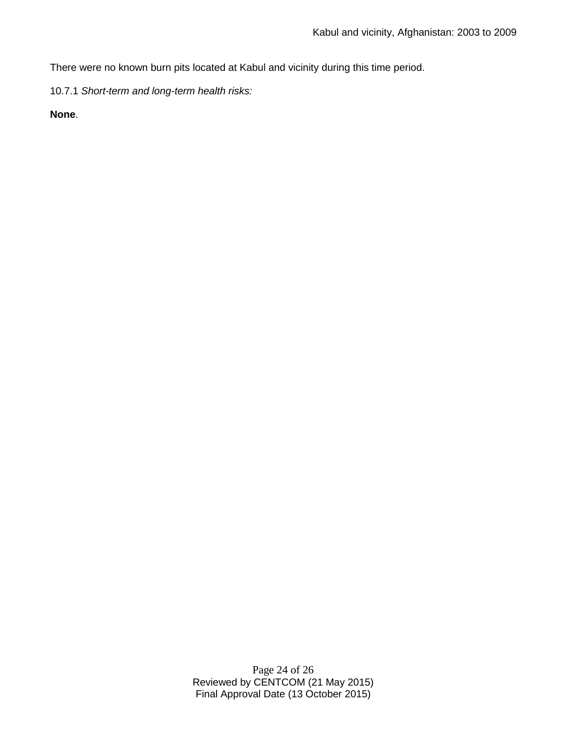There were no known burn pits located at Kabul and vicinity during this time period.

10.7.1 *Short-term and long-term health risks:*

**None**.

Page 24 of 26 Reviewed by CENTCOM (21 May 2015) Final Approval Date (13 October 2015)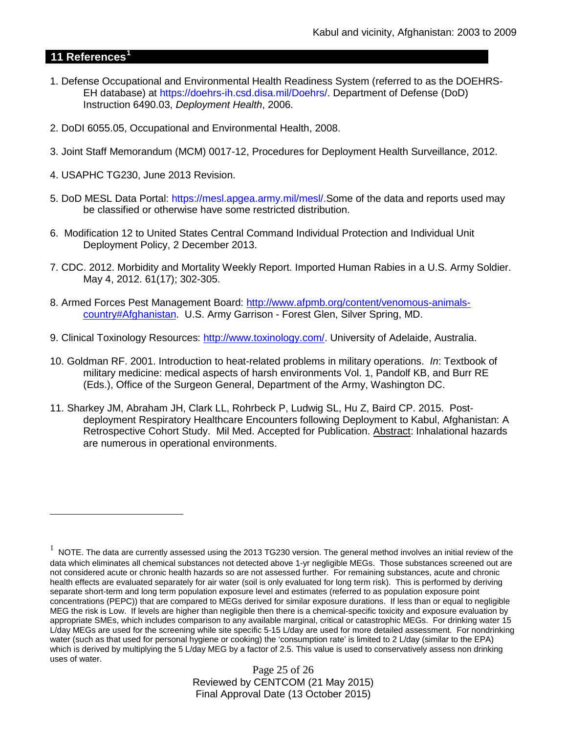## **11 References[1](#page-24-0)**

 $\overline{a}$ 

- 1. Defense Occupational and Environmental Health Readiness System (referred to as the DOEHRS-EH database) at https://doehrs-ih.csd.disa.mil/Doehrs/. Department of Defense (DoD) Instruction 6490.03, *Deployment Health*, 2006.
- 2. DoDI 6055.05, Occupational and Environmental Health, 2008.
- 3. Joint Staff Memorandum (MCM) 0017-12, Procedures for Deployment Health Surveillance, 2012.
- 4. USAPHC TG230, June 2013 Revision.
- 5. DoD MESL Data Portal: https://mesl.apgea.army.mil/mesl/.Some of the data and reports used may be classified or otherwise have some restricted distribution.
- 6. Modification 12 to United States Central Command Individual Protection and Individual Unit Deployment Policy, 2 December 2013.
- 7. CDC. 2012. Morbidity and Mortality Weekly Report. Imported Human Rabies in a U.S. Army Soldier. May 4, 2012. 61(17); 302-305.
- 8. Armed Forces Pest Management Board: [http://www.afpmb.org/content/venomous-animals](http://www.afpmb.org/content/venomous-animals-country#Afghanistan)[country#Afghanistan.](http://www.afpmb.org/content/venomous-animals-country#Afghanistan) U.S. Army Garrison - Forest Glen, Silver Spring, MD.
- 9. Clinical Toxinology Resources: [http://www.toxinology.com/.](http://www.toxinology.com/) University of Adelaide, Australia.
- 10. Goldman RF. 2001. Introduction to heat-related problems in military operations. *In*: Textbook of military medicine: medical aspects of harsh environments Vol. 1, Pandolf KB, and Burr RE (Eds.), Office of the Surgeon General, Department of the Army, Washington DC.
- 11. Sharkey JM, Abraham JH, Clark LL, Rohrbeck P, Ludwig SL, Hu Z, Baird CP. 2015. Postdeployment Respiratory Healthcare Encounters following Deployment to Kabul, Afghanistan: A Retrospective Cohort Study. Mil Med. Accepted for Publication. Abstract: Inhalational hazards are numerous in operational environments.

<span id="page-24-0"></span> $1$  NOTE. The data are currently assessed using the 2013 TG230 version. The general method involves an initial review of the data which eliminates all chemical substances not detected above 1-yr negligible MEGs. Those substances screened out are not considered acute or chronic health hazards so are not assessed further. For remaining substances, acute and chronic health effects are evaluated separately for air water (soil is only evaluated for long term risk). This is performed by deriving separate short-term and long term population exposure level and estimates (referred to as population exposure point concentrations (PEPC)) that are compared to MEGs derived for similar exposure durations. If less than or equal to negligible MEG the risk is Low. If levels are higher than negligible then there is a chemical-specific toxicity and exposure evaluation by appropriate SMEs, which includes comparison to any available marginal, critical or catastrophic MEGs. For drinking water 15 L/day MEGs are used for the screening while site specific 5-15 L/day are used for more detailed assessment. For nondrinking water (such as that used for personal hygiene or cooking) the 'consumption rate' is limited to 2 L/day (similar to the EPA) which is derived by multiplying the 5 L/day MEG by a factor of 2.5. This value is used to conservatively assess non drinking uses of water.